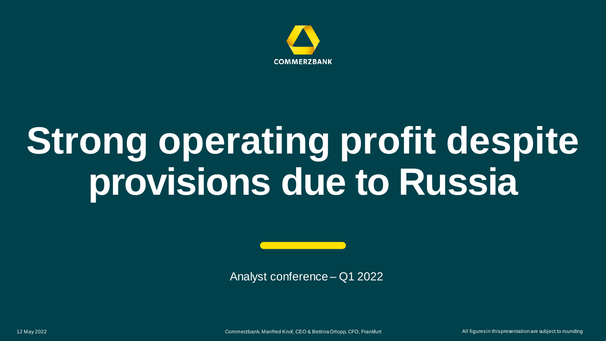

# **Strong operating profit despite provisions due to Russia**

Analyst conference – Q1 2022

12 May 2022 Commerzbank, Manfred Knof, CEO & Bettina Orlopp, CFO, Frankfurt All figures in this presentation are subject to rounding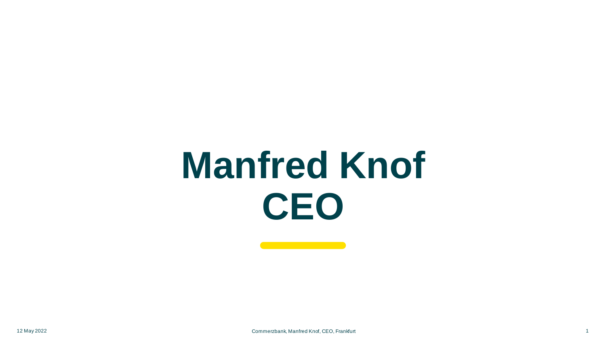# **Manfred Knof CEO**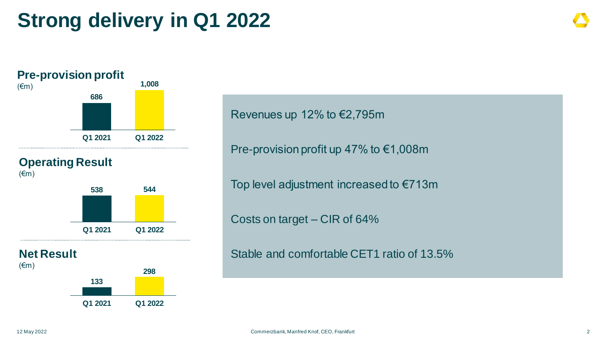## **Strong delivery in Q1 2022**



### **Operating Result**



**Net Result**





Revenues up 12% to €2,795m

Pre-provision profit up 47% to €1,008m

Top level adjustment increased to €713m

Costs on target – CIR of 64%

Stable and comfortable CET1 ratio of 13.5%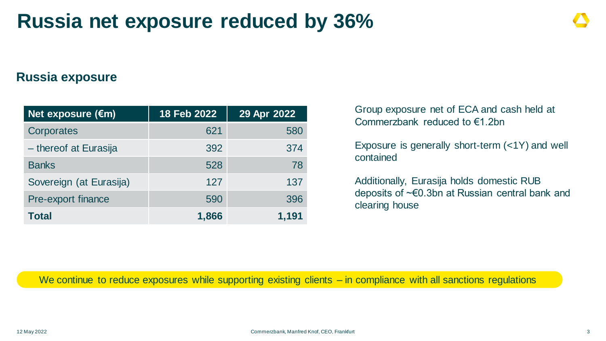## **Russia net exposure reduced by 36%**

### **Russia exposure**

| Net exposure $(\epsilon m)$ | 18 Feb 2022 | 29 Apr 2022 |
|-----------------------------|-------------|-------------|
| Corporates                  | 621         | 580         |
| - thereof at Eurasija       | 392         | 374         |
| <b>Banks</b>                | 528         | 78          |
| Sovereign (at Eurasija)     | 127         | 137         |
| Pre-export finance          | 590         | 396         |
| <b>Total</b>                | 1,866       | 1,191       |

Group exposure net of ECA and cash held at Commerzbank reduced to €1.2bn

Exposure is generally short-term (<1Y) and well contained

Additionally, Eurasija holds domestic RUB deposits of ~€0.3bn at Russian central bank and clearing house

We continue to reduce exposures while supporting existing clients – in compliance with all sanctions regulations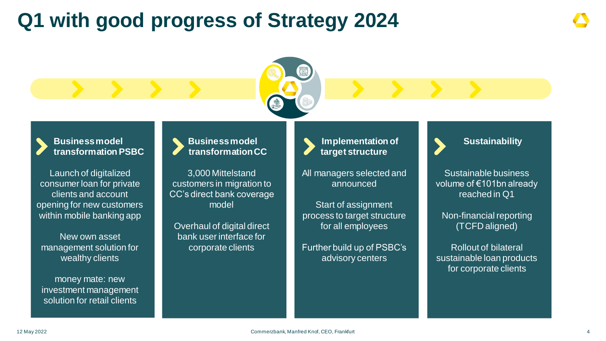## **Q1 with good progress of Strategy 2024**

**Business model transformation PSBC**

Launch of digitalized consumer loan for private clients and account opening for new customers within mobile banking app

New own asset management solution for wealthy clients

money mate: new investment management solution for retail clients

### **Business model transformation CC**

3,000 Mittelstand customers in migration to CC's direct bank coverage model

Overhaul of digital direct bank user interface for corporate clients

**Implementation of target structure**

All managers selected and announced

Start of assignment process to target structure for all employees

Further build up of PSBC's advisory centers



Sustainable business volume of €101bn already reached in Q1

Non-financial reporting (TCFD aligned)

Rollout of bilateral sustainable loan products for corporate clients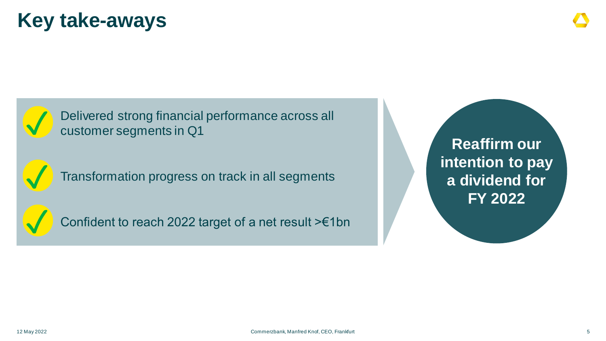## **Key take-aways**



Delivered strong financial performance across all customer segments in Q1



Transformation progress on track in all segments

✓

Confident to reach 2022 target of a net result >€1bn

**Reaffirm our intention to pay a dividend for FY 2022**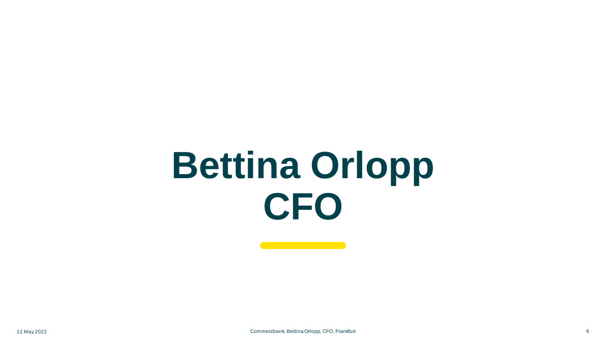# **Bettina Orlopp CFO**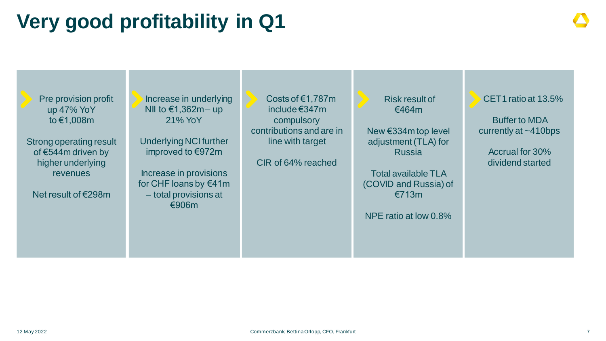## **Very good profitability in Q1**

Pre provision profit up 47% YoY to €1,008m Strong operating result of €544m driven by higher underlying revenues Net result of €298m CET1 ratio at 13.5% Buffer to MDA currently at ~410bps Accrual for 30% dividend started Increase in underlying NII to €1,362m – up 21% YoY Underlying NCI further improved to €972m Increase in provisions for CHF loans by €41m – total provisions at €906m Risk result of €464m New €334m top level adjustment (TLA) for Russia Total available TLA (COVID and Russia) of €713m NPE ratio at low 0.8% Costs of €1,787m include €347m compulsory contributions and are in line with target CIR of 64% reached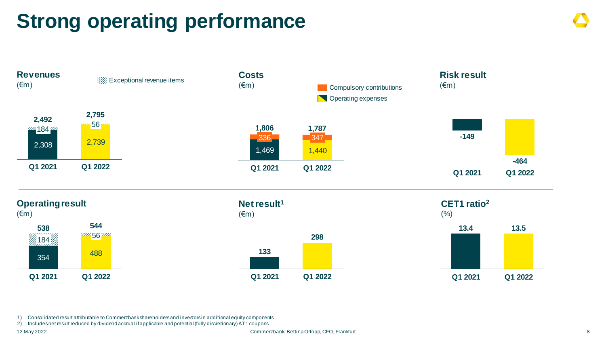## **Strong operating performance**



1) Consolidated result attributable to Commerzbank shareholders and investors in additional equity components

2) Includes net result reduced by dividend accrual if applicable and potential (fully discretionary) AT1 coupons

12 May 2022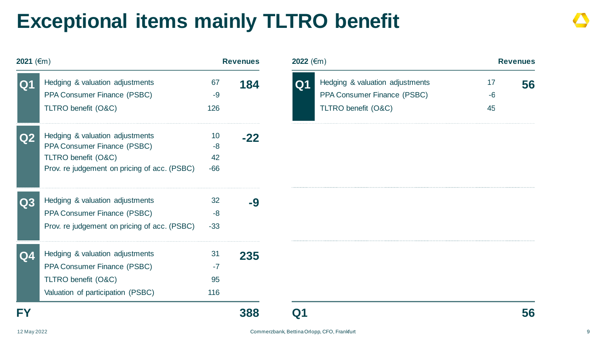## **Exceptional items mainly TLTRO benefit**

| 2021 (€m)      |                                                                                                                                       |                           | <b>Revenues</b> | 2022 (€m)      |                                                                                       |                  | <b>Revenues</b> |
|----------------|---------------------------------------------------------------------------------------------------------------------------------------|---------------------------|-----------------|----------------|---------------------------------------------------------------------------------------|------------------|-----------------|
| Q <sub>1</sub> | Hedging & valuation adjustments<br>PPA Consumer Finance (PSBC)<br>TLTRO benefit (O&C)                                                 | 67<br>$-9$<br>126         | 184             | Q <sub>1</sub> | Hedging & valuation adjustments<br>PPA Consumer Finance (PSBC)<br>TLTRO benefit (O&C) | 17<br>$-6$<br>45 | 56              |
| Q2             | Hedging & valuation adjustments<br>PPA Consumer Finance (PSBC)<br>TLTRO benefit (O&C)<br>Prov. re judgement on pricing of acc. (PSBC) | 10<br>$-8$<br>42<br>$-66$ | $-22$           |                |                                                                                       |                  |                 |
| Q3             | Hedging & valuation adjustments<br>PPA Consumer Finance (PSBC)<br>Prov. re judgement on pricing of acc. (PSBC)                        | 32<br>$-8$<br>$-33$       | $-9$            |                |                                                                                       |                  |                 |
| Q <sub>4</sub> | Hedging & valuation adjustments<br>PPA Consumer Finance (PSBC)<br>TLTRO benefit (O&C)<br>Valuation of participation (PSBC)            | 31<br>$-7$<br>95<br>116   | 235             |                |                                                                                       |                  |                 |
| FY             |                                                                                                                                       |                           | 388             | Q1             |                                                                                       |                  | 56              |

| <b>2022</b> (€m) |                                 |      | <b>Revenues</b> |
|------------------|---------------------------------|------|-----------------|
| Q1               | Hedging & valuation adjustments | 17   | 56              |
|                  | PPA Consumer Finance (PSBC)     | $-6$ |                 |
|                  | TLTRO benefit (O&C)             | 45   |                 |
|                  |                                 |      |                 |
|                  |                                 |      |                 |
|                  |                                 |      |                 |
|                  |                                 |      |                 |
|                  |                                 |      |                 |
|                  |                                 |      |                 |
|                  |                                 |      |                 |
|                  |                                 |      |                 |
|                  |                                 |      |                 |
|                  |                                 |      |                 |
|                  |                                 |      |                 |
|                  |                                 |      |                 |
|                  |                                 |      |                 |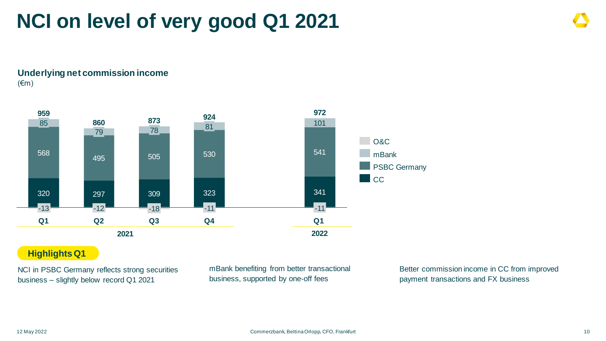## **NCI on level of very good Q1 2021**

**Underlying net commission income** (€m)



### **Highlights Q1**

NCI in PSBC Germany reflects strong securities business – slightly below record Q1 2021

mBank benefiting from better transactional business, supported by one-off fees

Better commission income in CC from improved payment transactions and FX business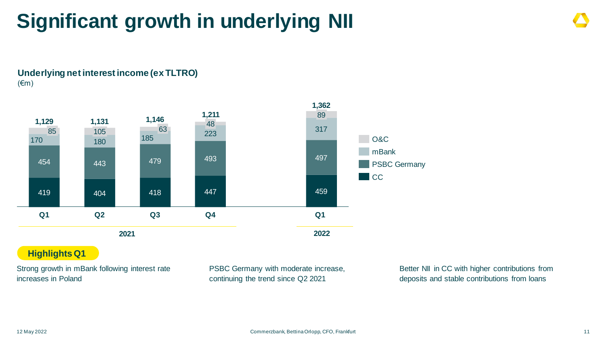## **Significant growth in underlying NII**

### **Underlying net interest income (ex TLTRO)** (€m)



### **Highlights Q1**

Strong growth in mBank following interest rate increases in Poland

PSBC Germany with moderate increase, continuing the trend since Q2 2021

Better NII in CC with higher contributions from deposits and stable contributions from loans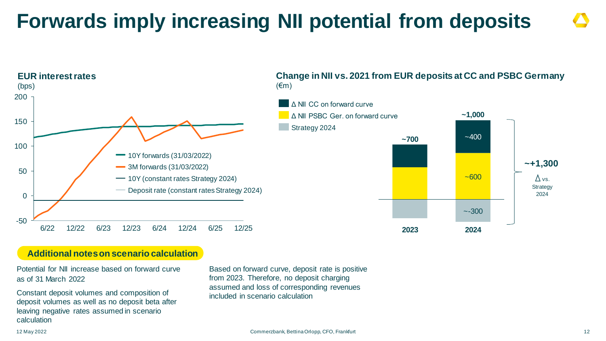## **Forwards imply increasing NII potential from deposits**



## **Change in NII vs. 2021 from EUR deposits at CC and PSBC Germany**

### **Additional notes on scenario calculation**

Potential for NII increase based on forward curve as of 31 March 2022

Constant deposit volumes and composition of deposit volumes as well as no deposit beta after leaving negative rates assumed in scenario calculation

Based on forward curve, deposit rate is positive from 2023. Therefore, no deposit charging assumed and loss of corresponding revenues included in scenario calculation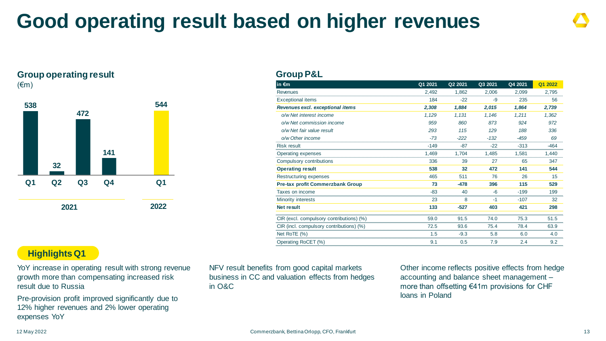## **Good operating result based on higher revenues**

### **Group operating result**

 $(\epsilon m)$ 



### **Group P&L**

| in $\epsilon$ m                          | Q1 2021 | Q2 2021 | Q3 2021 | Q4 2021 | Q1 2022 |
|------------------------------------------|---------|---------|---------|---------|---------|
| <b>Revenues</b>                          | 2,492   | 1,862   | 2,006   | 2,099   | 2,795   |
| <b>Exceptional items</b>                 | 184     | $-22$   | $-9$    | 235     | 56      |
| Revenues excl. exceptional items         | 2,308   | 1,884   | 2,015   | 1,864   | 2,739   |
| o/w Net interest income                  | 1,129   | 1.131   | 1.146   | 1.211   | 1,362   |
| o/w Net commission income                | 959     | 860     | 873     | 924     | 972     |
| o/w Net fair value result                | 293     | 115     | 129     | 188     | 336     |
| o/w Other income                         | $-73$   | $-222$  | $-132$  | $-459$  | 69      |
| <b>Risk result</b>                       | $-149$  | $-87$   | $-22$   | $-313$  | $-464$  |
| Operating expenses                       | 1,469   | 1,704   | 1,485   | 1,581   | 1.440   |
| Compulsory contributions                 | 336     | 39      | 27      | 65      | 347     |
| <b>Operating result</b>                  | 538     | 32      | 472     | 141     | 544     |
| Restructuring expenses                   | 465     | 511     | 76      | 26      | 15      |
| <b>Pre-tax profit Commerzbank Group</b>  | 73      | $-478$  | 396     | 115     | 529     |
| Taxes on income                          | $-83$   | 40      | $-6$    | $-199$  | 199     |
| Minority interests                       | 23      | 8       | $-1$    | $-107$  | 32      |
| <b>Net result</b>                        | 133     | $-527$  | 403     | 421     | 298     |
| CIR (excl. compulsory contributions) (%) | 59.0    | 91.5    | 74.0    | 75.3    | 51.5    |
| CIR (incl. compulsory contributions) (%) | 72.5    | 93.6    | 75.4    | 78.4    | 63.9    |
| Net RoTE (%)                             | 1.5     | $-9.3$  | 5.8     | 6.0     | 4.0     |
| Operating RoCET (%)                      | 9.1     | 0.5     | 7.9     | 2.4     | 9.2     |

### **Highlights Q1**

YoY increase in operating result with strong revenue growth more than compensating increased risk result due to Russia

Pre-provision profit improved significantly due to 12% higher revenues and 2% lower operating expenses YoY

NFV result benefits from good capital markets business in CC and valuation effects from hedges in O&C

Other income reflects positive effects from hedge accounting and balance sheet management – more than offsetting €41m provisions for CHF loans in Poland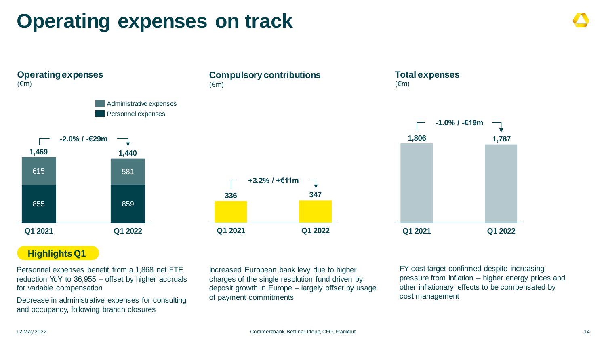## **Operating expenses on track**

**Operating expenses**   $(\epsilon m)$ 855 859 615 581 **1,469 Q1 2021 1,440 Q1 2022 -2.0% / -€29m** Administrative expenses Personnel expenses

### **Compulsory contributions** (€m)

**336 347 Q1 2021 Q1 2022 +3.2% / +€11m**

### **Total expenses**  (€m)



### **Highlights Q1**

Personnel expenses benefit from a 1,868 net FTE reduction YoY to 36,955 – offset by higher accruals for variable compensation

Decrease in administrative expenses for consulting and occupancy, following branch closures

Increased European bank levy due to higher charges of the single resolution fund driven by deposit growth in Europe – largely offset by usage of payment commitments

FY cost target confirmed despite increasing pressure from inflation – higher energy prices and other inflationary effects to be compensated by cost management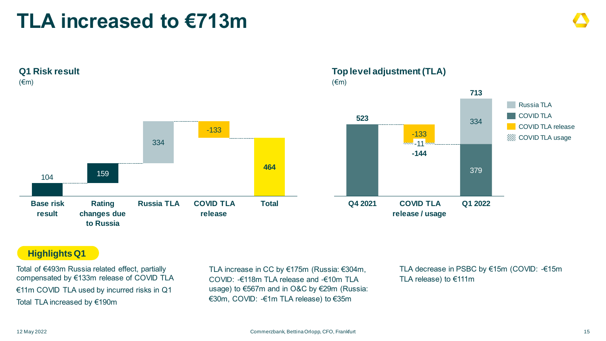## **TLA increased to €713m**



### **523** 379 334 **-144** -133 -11 **713 Top level adjustment (TLA)** (€m) Russia TLA COVID TLA release COVID TLA **WA COVID TLA usage**

**COVID TLA release / usage**

**Q4 2021**

### **Highlights Q1**

Total of €493m Russia related effect, partially compensated by €133m release of COVID TLA €11m COVID TLA used by incurred risks in Q1 Total TLA increased by €190m

TLA increase in CC by €175m (Russia: €304m, COVID: -€118m TLA release and -€10m TLA usage) to €567m and in O&C by €29m (Russia: €30m, COVID: -€1m TLA release) to €35m

TLA decrease in PSBC by €15m (COVID: -€15m TLA release) to €111m

**Q1 2022**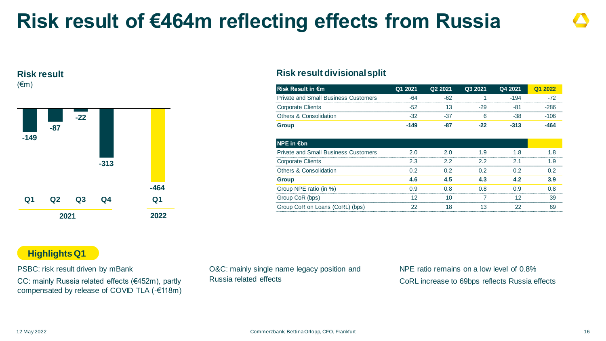## **Risk result of €464m reflecting effects from Russia**

### **Risk result** (€m)



### **Risk result divisional split**

| lRisk Result in €m                          | Q1 2021 | Q2 2021 | Q3 2021 | Q4 2021 | Q1 2022 |
|---------------------------------------------|---------|---------|---------|---------|---------|
| <b>Private and Small Business Customers</b> | $-64$   | $-62$   |         | $-194$  | $-72$   |
| <b>Corporate Clients</b>                    | $-52$   | 13      | -29     | -81     | $-286$  |
| Others & Consolidation                      | $-32$   | -37     | 6       | $-38$   | $-106$  |
| <b>Group</b>                                | $-149$  | -87     | $-22$   | $-313$  | $-464$  |
| NPE in €bn                                  |         |         |         |         |         |
| <b>Private and Small Business Customers</b> | 2.0     | 2.0     | 1.9     | 1.8     | 1.8     |
| <b>Corporate Clients</b>                    | 2.3     | 2.2     | 2.2     | 2.1     | 1.9     |
| <b>Others &amp; Consolidation</b>           | 0.2     | 0.2     | 0.2     | 0.2     | 0.2     |
| <b>Group</b>                                | 4.6     | 4.5     | 4.3     | 4.2     | 3.9     |
| Group NPE ratio (in %)                      | 0.9     | 0.8     | 0.8     | 0.9     | 0.8     |
| Group CoR (bps)                             | 12      | 10      |         | 12      | 39      |
| Group CoR on Loans (CoRL) (bps)             | 22      | 18      | 13      | 22      | 69      |

### **Highlights Q1**

PSBC: risk result driven by mBank

CC: mainly Russia related effects (€452m), partly compensated by release of COVID TLA (-€118m) O&C: mainly single name legacy position and Russia related effects

NPE ratio remains on a low level of 0.8% CoRL increase to 69bps reflects Russia effects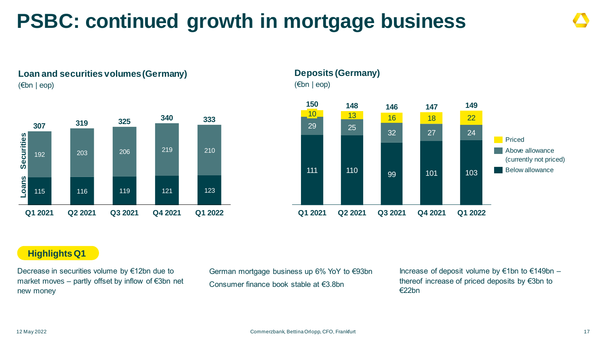## **PSBC: continued growth in mortgage business**





### **Deposits (Germany)** (€bn | eop)



### **Highlights Q1**

Decrease in securities volume by €12bn due to market moves – partly offset by inflow of €3bn net new money

German mortgage business up 6% YoY to €93bn Consumer finance book stable at €3.8bn

Increase of deposit volume by €1bn to €149bn – thereof increase of priced deposits by €3bn to €22bn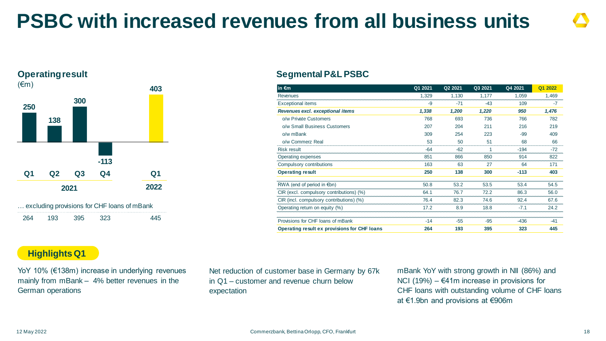## **PSBC with increased revenues from all business units**

### **Operating result**



### **Segmental P&L PSBC**

| in $\epsilon$ m                              | Q1 2021 | Q2 2021 | Q3 2021 | Q4 2021 | Q1 2022 |
|----------------------------------------------|---------|---------|---------|---------|---------|
| Revenues                                     | 1,329   | 1,130   | 1,177   | 1,059   | 1,469   |
| <b>Exceptional items</b>                     | -9      | $-71$   | $-43$   | 109     | -7      |
| Revenues excl. exceptional items             | 1,338   | 1,200   | 1,220   | 950     | 1,476   |
| o/w Private Customers                        | 768     | 693     | 736     | 766     | 782     |
| o/w Small Business Customers                 | 207     | 204     | 211     | 216     | 219     |
| o/w mBank                                    | 309     | 254     | 223     | $-99$   | 409     |
| o/w Commerz Real                             | 53      | 50      | 51      | 68      | 66      |
| <b>Risk result</b>                           | $-64$   | $-62$   | 1       | $-194$  | $-72$   |
| Operating expenses                           | 851     | 866     | 850     | 914     | 822     |
| Compulsory contributions                     | 163     | 63      | 27      | 64      | 171     |
| <b>Operating result</b>                      | 250     | 138     | 300     | $-113$  | 403     |
| RWA (end of period in $\notin$ bn)           | 50.8    | 53.2    | 53.5    | 53.4    | 54.5    |
| CIR (excl. compulsory contributions) (%)     | 64.1    | 76.7    | 72.2    | 86.3    | 56.0    |
| CIR (incl. compulsory contributions) (%)     | 76.4    | 82.3    | 74.6    | 92.4    | 67.6    |
| Operating return on equity (%)               | 17.2    | 8.9     | 18.8    | $-7.1$  | 24.2    |
| Provisions for CHF loans of mBank            | $-14$   | $-55$   | $-95$   | -436    | -41     |
| Operating result ex provisions for CHF loans | 264     | 193     | 395     | 323     | 445     |

### **Highlights Q1**

YoY 10% (€138m) increase in underlying revenues mainly from mBank – 4% better revenues in the German operations

Net reduction of customer base in Germany by 67k in Q1 – customer and revenue churn below expectation

mBank YoY with strong growth in NII (86%) and NCI (19%) –  $€41m$  increase in provisions for CHF loans with outstanding volume of CHF loans at €1.9bn and provisions at €906m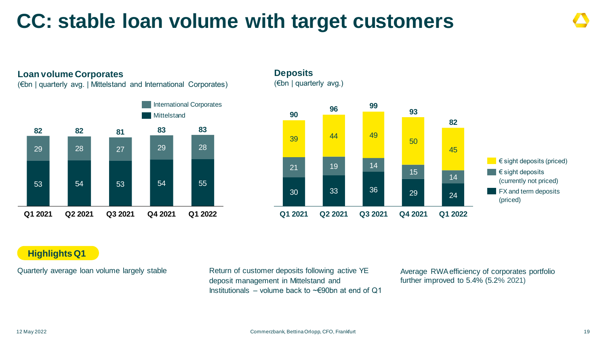## **CC: stable loan volume with target customers**



### **Highlights Q1**

Quarterly average loan volume largely stable Return of customer deposits following active YE deposit management in Mittelstand and Institutionals – volume back to  $\sim \epsilon$ 90bn at end of Q1

Average RWA efficiency of corporates portfolio further improved to 5.4% (5.2% 2021)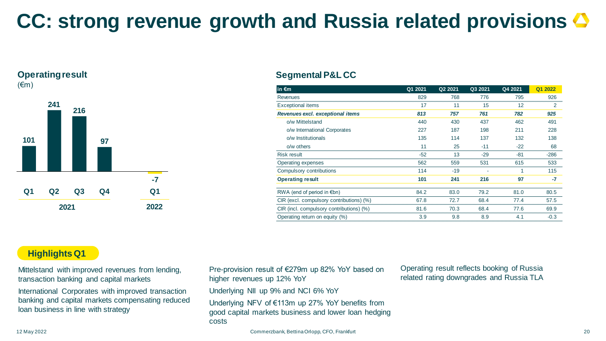## **CC: strong revenue growth and Russia related provisions**

### **Operating result**

(€m)



### **Segmental P&L CC**

| in $\epsilon$ m                          | Q1 2021 | Q2 2021 | Q3 2021 | Q4 2021 | Q1 2022 |
|------------------------------------------|---------|---------|---------|---------|---------|
| Revenues                                 | 829     | 768     | 776     | 795     | 926     |
| <b>Exceptional items</b>                 | 17      | 11      | 15      | 12      | 2       |
| Revenues excl. exceptional items         | 813     | 757     | 761     | 782     | 925     |
| o/w Mittelstand                          | 440     | 430     | 437     | 462     | 491     |
| o/w International Corporates             | 227     | 187     | 198     | 211     | 228     |
| o/w Institutionals                       | 135     | 114     | 137     | 132     | 138     |
| $o/w$ others                             | 11      | 25      | $-11$   | $-22$   | 68      |
| <b>Risk result</b>                       | $-52$   | 13      | $-29$   | $-81$   | $-286$  |
| Operating expenses                       | 562     | 559     | 531     | 615     | 533     |
| Compulsory contributions                 | 114     | $-19$   |         |         | 115     |
| <b>Operating result</b>                  | 101     | 241     | 216     | 97      | -7      |
| RWA (end of period in $\notin$ bn)       | 84.2    | 83.0    | 79.2    | 81.0    | 80.5    |
| CIR (excl. compulsory contributions) (%) | 67.8    | 72.7    | 68.4    | 77.4    | 57.5    |
| CIR (incl. compulsory contributions) (%) | 81.6    | 70.3    | 68.4    | 77.6    | 69.9    |
| Operating return on equity (%)           | 3.9     | 9.8     | 8.9     | 4.1     | $-0.3$  |

### **Highlights Q1**

Mittelstand with improved revenues from lending, transaction banking and capital markets

International Corporates with improved transaction banking and capital markets compensating reduced loan business in line with strategy

Pre-provision result of €279m up 82% YoY based on higher revenues up 12% YoY

Underlying NII up 9% and NCI 6% YoY

Underlying NFV of €113m up 27% YoY benefits from good capital markets business and lower loan hedging costs

Operating result reflects booking of Russia related rating downgrades and Russia TLA

Commerzbank, Bettina Orlopp, CFO, Frankfurt 20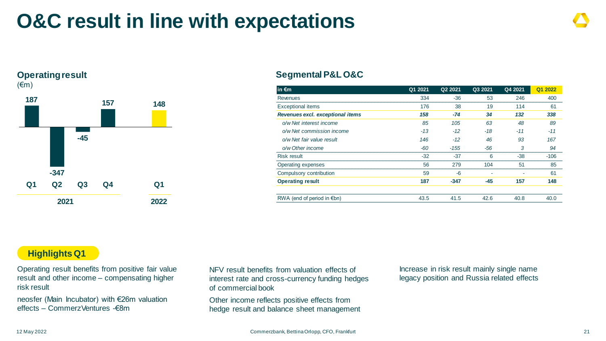## **O&C result in line with expectations**

### **Operating result**



### **Segmental P&L O&C**

| in $\epsilon$ m                    | Q1 2021 | Q <sub>2</sub> 2021 | Q3 2021 | Q4 2021 | Q1 2022 |
|------------------------------------|---------|---------------------|---------|---------|---------|
| Revenues                           | 334     | $-36$               | 53      | 246     | 400     |
| <b>Exceptional items</b>           | 176     | 38                  | 19      | 114     | 61      |
| Revenues excl. exceptional items   | 158     | $-74$               | 34      | 132     | 338     |
| o/w Net interest income            | 85      | 105                 | 63      | 48      | 89      |
| o/w Net commission income          | $-13$   | $-12$               | $-18$   | $-11$   | $-11$   |
| o/w Net fair value result          | 146     | $-12$               | 46      | 93      | 167     |
| o/w Other income                   | -60     | $-155$              | -56     | 3       | 94      |
| Risk result                        | $-32$   | $-37$               | 6       | $-38$   | $-106$  |
| Operating expenses                 | 56      | 279                 | 104     | 51      | 85      |
| Compulsory contribution            | 59      | -6                  |         |         | 61      |
| <b>Operating result</b>            | 187     | $-347$              | $-45$   | 157     | 148     |
| RWA (end of period in $\notin$ bn) | 43.5    | 41.5                | 42.6    | 40.8    | 40.0    |

### **Highlights Q1**

Operating result benefits from positive fair value result and other income – compensating higher risk result

neosfer (Main Incubator) with €26m valuation effects – CommerzVentures -€8m

NFV result benefits from valuation effects of interest rate and cross-currency funding hedges of commercial book

Other income reflects positive effects from hedge result and balance sheet management

Increase in risk result mainly single name legacy position and Russia related effects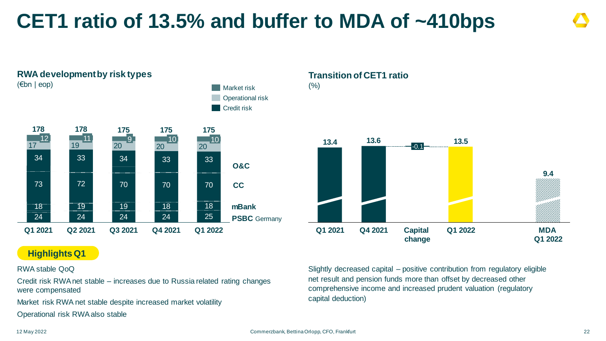## **CET1 ratio of 13.5% and buffer to MDA of ~410bps**



### **Highlights Q1**

### RWA stable QoQ

Credit risk RWA net stable – increases due to Russia related rating changes were compensated

Market risk RWA net stable despite increased market volatility

Operational risk RWA also stable

### **Transition of CET1 ratio**  $(% )$



Slightly decreased capital – positive contribution from regulatory eligible net result and pension funds more than offset by decreased other comprehensive income and increased prudent valuation (regulatory capital deduction)

#### 12 May 2022

#### Commerzbank, Bettina Orlopp, CFO, Frankfurt 22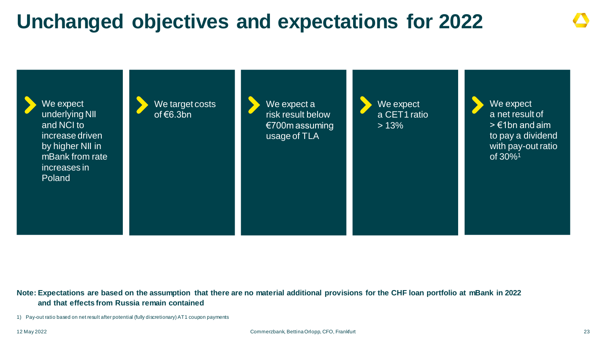## **Unchanged objectives and expectations for 2022**



**Note: Expectations are based on the assumption that there are no material additional provisions for the CHF loan portfolio at mBank in 2022 and that effects from Russia remain contained**

1) Pay-out ratio based on net result after potential (fully discretionary) AT1 coupon payments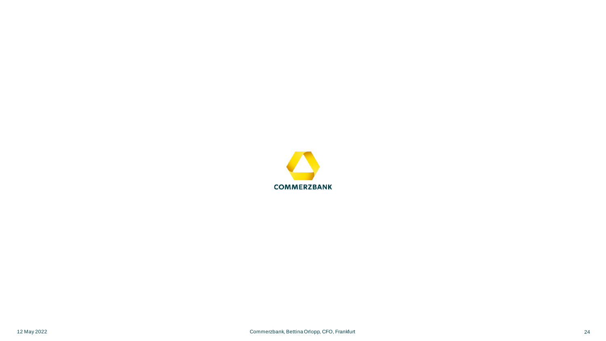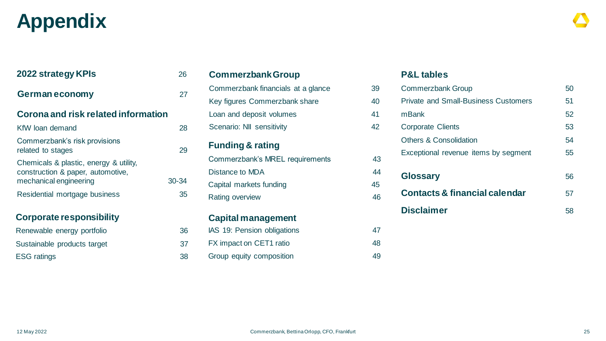## **Appendix**

| 2022 strategy KPIs                                                                                    | 26        |
|-------------------------------------------------------------------------------------------------------|-----------|
| <b>German economy</b>                                                                                 | 27        |
| Corona and risk related information                                                                   |           |
| KfW loan demand                                                                                       | 28        |
| Commerzbank's risk provisions<br>related to stages                                                    | 29        |
| Chemicals & plastic, energy & utility,<br>construction & paper, automotive,<br>mechanical engineering | $30 - 34$ |
| Residential mortgage business                                                                         | 35        |
|                                                                                                       |           |

### **Corporate responsibility**

| Renewable energy portfolio  | 36 |
|-----------------------------|----|
| Sustainable products target | 37 |
| <b>ESG ratings</b>          | 38 |

| <b>Commerzbank Group</b>           |    |
|------------------------------------|----|
| Commerzbank financials at a glance | 39 |
| Key figures Commerzbank share      | 40 |
| Loan and deposit volumes           | 41 |
| Scenario: NII sensitivity          | 42 |
| <b>Funding &amp; rating</b>        |    |
| Commerzbank's MREL requirements    | 43 |
| Distance to MDA                    | 44 |
| Capital markets funding            | 45 |
| Rating overview                    | 46 |
| <b>Capital management</b>          |    |
| IAS 19: Pension obligations        | 47 |
| FX impact on CET1 ratio            | 48 |

### **P&L tables**

| <b>Commerzbank Group</b>                    | 50 |
|---------------------------------------------|----|
| <b>Private and Small-Business Customers</b> | 51 |
| mBank                                       | 52 |
| <b>Corporate Clients</b>                    | 53 |
| <b>Others &amp; Consolidation</b>           | 54 |
| Exceptional revenue items by segment        | 55 |
| <b>Glossary</b>                             | 56 |
| <b>Contacts &amp; financial calendar</b>    | 57 |
| <b>Disclaimer</b>                           | 58 |
|                                             |    |

Group equity composition and the 49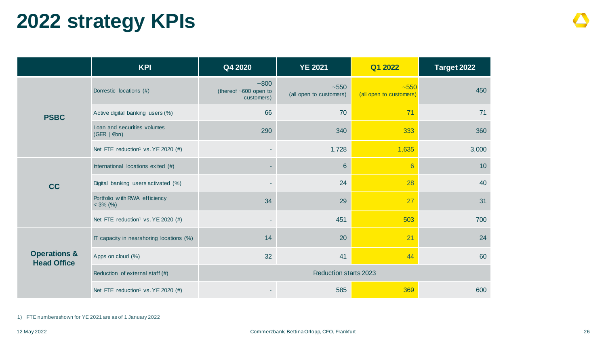## **2022 strategy KPIs**

|                                                   | <b>KPI</b>                                     | Q4 2020                                       | <b>YE 2021</b>                        | Q1 2022                           | Target 2022 |
|---------------------------------------------------|------------------------------------------------|-----------------------------------------------|---------------------------------------|-----------------------------------|-------------|
|                                                   | Domestic locations (#)                         | $-800$<br>(thereof ~600 open to<br>customers) | $~1 - 550$<br>(all open to customers) | $-550$<br>(all open to customers) | 450         |
| <b>PSBC</b>                                       | Active digital banking users (%)               | 66                                            | 70                                    | 71                                | 71          |
| Loan and securities volumes<br>$(GER   \epsilon)$ |                                                | 290                                           | 340                                   | 333                               | 360         |
|                                                   | Net FTE reduction <sup>1</sup> vs. YE 2020 (#) |                                               | 1,728                                 | 1,635                             | 3,000       |
|                                                   | International locations exited (#)             |                                               | 6                                     | $6\overline{6}$                   | 10          |
| <b>CC</b>                                         | Digital banking users activated (%)            |                                               | 24                                    | 28                                | 40          |
|                                                   | Portfolio with RWA efficiency<br>$<$ 3% (%)    | 34                                            | 29                                    | 27                                | 31          |
|                                                   | Net FTE reduction <sup>1</sup> vs. YE 2020 (#) |                                               | 451                                   | 503                               | 700         |
|                                                   | IT capacity in nearshoring locations (%)       | 14                                            | 20                                    | 21                                | 24          |
| <b>Operations &amp;</b><br><b>Head Office</b>     | Apps on cloud (%)                              | 32                                            | 41                                    | 44                                | 60          |
|                                                   | Reduction of external staff (#)                |                                               | <b>Reduction starts 2023</b>          |                                   |             |
|                                                   | Net FTE reduction <sup>1</sup> vs. YE 2020 (#) |                                               | 585                                   | 369                               | 600         |

1) FTE numbers shown for YE 2021 are as of 1 January 2022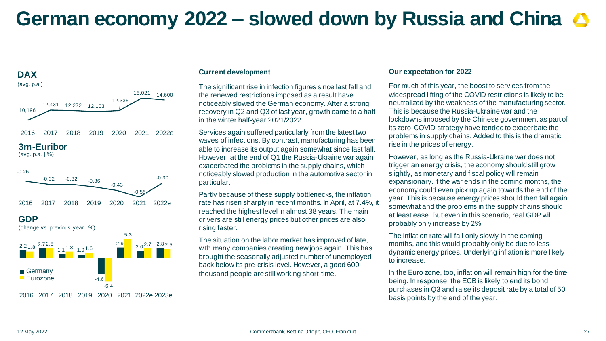## **German economy 2022 – slowed down by Russia and China**



#### 2016 2017 2018 2019 2020 2021 2022e 2023e

#### **Current development**

The significant rise in infection figures since last fall and the renewed restrictions imposed as a result have noticeably slowed the German economy. After a strong recovery in Q2 and Q3 of last year, growth came to a halt in the winter half-year 2021/2022.

Services again suffered particularly from the latest two waves of infections. By contrast, manufacturing has been able to increase its output again somewhat since last fall. However, at the end of Q1 the Russia-Ukraine war again exacerbated the problems in the supply chains, which noticeably slowed production in the automotive sector in particular.

Partly because of these supply bottlenecks, the inflation rate has risen sharply in recent months. In April, at 7.4%, it reached the highest level in almost 38 years. The main drivers are still energy prices but other prices are also rising faster.

The situation on the labor market has improved of late, with many companies creating new jobs again. This has brought the seasonally adjusted number of unemployed back below its pre-crisis level. However, a good 600 thousand people are still working short-time.

#### **Our expectation for 2022**

For much of this year, the boost to services from the widespread lifting of the COVID restrictions is likely to be neutralized by the weakness of the manufacturing sector. This is because the Russia-Ukraine war and the lockdowns imposed by the Chinese government as part of its zero-COVID strategy have tended to exacerbate the problems in supply chains. Added to this is the dramatic rise in the prices of energy.

However, as long as the Russia-Ukraine war does not trigger an energy crisis, the economy should still grow slightly, as monetary and fiscal policy will remain expansionary. If the war ends in the coming months, the economy could even pick up again towards the end of the year. This is because energy prices should then fall again somewhat and the problems in the supply chains should at least ease. But even in this scenario, real GDP will probably only increase by 2%.

The inflation rate will fall only slowly in the coming months, and this would probably only be due to less dynamic energy prices. Underlying inflation is more likely to increase.

In the Euro zone, too, inflation will remain high for the time being. In response, the ECB is likely to end its bond purchases in Q3 and raise its deposit rate by a total of 50 basis points by the end of the year.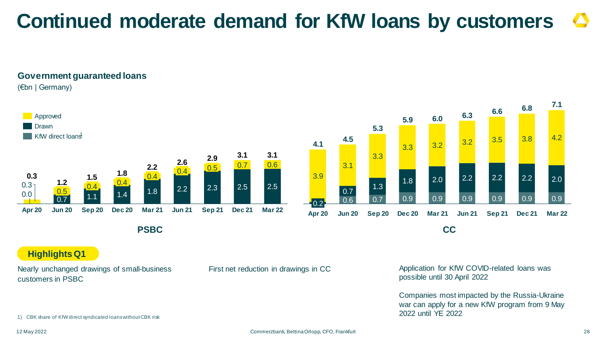## **Continued moderate demand for KfW loans by customers**

### **Government guaranteed loans**

(€bn | Germany)



#### 0.6 0.7 0.9 0.9 0.9 0.9 0.9 0.9 3.9  $\overline{0.7}$  1.3 1.8 2.0 2.2 2.2 2.2 2.0 3.1 3.3 3.3 3.2 3.2 3.5 3.8 4.2 0.2 **Apr 20 Jun 20 Sep 20 Dec 20 Mar 21 Sep 21 6.3 5.3 Jun 21 Dec 21 Mar 22 7.1 4.1 6.0 4.5 5.9 6.6 6.8 PSBC CC**

**Highlights Q1**

Nearly unchanged drawings of small-business customers in PSBC

First net reduction in drawings in CC Application for KfW COVID-related Ioans was possible until 30 April 2022

> Companies most impacted by the Russia-Ukraine war can apply for a new KfW program from 9 May 2022 until YE 2022

1) CBK share of KfWdirect syndicated loans without CBK risk

12 May 2022

Commerzbank, Bettina Orlopp, CFO, Frankfurt 28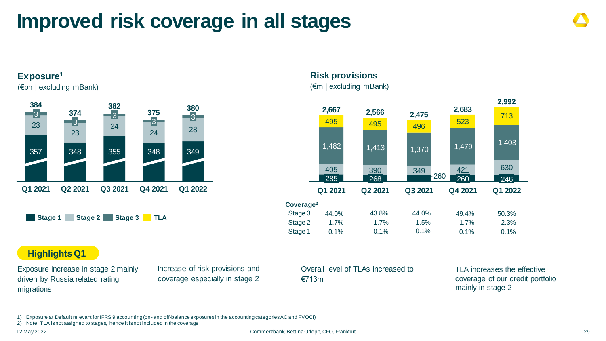## **Improved risk coverage in all stages**

### **Exposure<sup>1</sup>**

(€bn | excluding mBank)



### **Risk provisions**

(€m | excluding mBank)



### **Highlights Q1**

Exposure increase in stage 2 mainly driven by Russia related rating migrations

Increase of risk provisions and coverage especially in stage 2 Overall level of TLAs increased to €713m

TLA increases the effective coverage of our credit portfolio mainly in stage 2

1) Exposure at Default relevant for IFRS 9 accounting (on- and off-balance exposures in the accounting categories AC and FVOCI)

2) Note: TLA is not assigned to stages, hence it is not included in the coverage

12 May 2022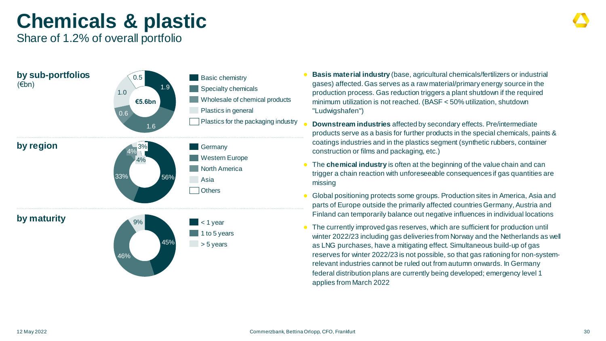## **Chemicals & plastic**

Share of 1.2% of overall portfolio

| by sub-portfolios<br>$(\epsilon$ bn) | 0.5<br>1.9<br>1.0<br>€5.6bn<br>0.6<br>1.6 | <b>Basic chemistry</b><br>Specialty chemicals<br>Wholesale of chemical products<br>Plastics in general<br>Plastics for the packaging industry |
|--------------------------------------|-------------------------------------------|-----------------------------------------------------------------------------------------------------------------------------------------------|
| by region                            | 3%<br>4%<br>4%<br>33%<br>56%              | Germany<br><b>Western Europe</b><br><b>North America</b><br>Asia<br><b>Others</b>                                                             |
| by maturity                          | 9%<br>45%<br>46%                          | < 1 year<br>1 to 5 years<br>> 5 years                                                                                                         |

- **Basis material industry** (base, agricultural chemicals/fertilizers or industrial gases) affected. Gas serves as a raw material/primary energy source in the production process. Gas reduction triggers a plant shutdown if the required minimum utilization is not reached. (BASF < 50% utilization, shutdown "Ludwigshafen")
- **Downstream industries** affected by secondary effects. Pre/intermediate products serve as a basis for further products in the special chemicals, paints & coatings industries and in the plastics segment (synthetic rubbers, container construction or films and packaging, etc.)
- The **chemical industry** is often at the beginning of the value chain and can trigger a chain reaction with unforeseeable consequences if gas quantities are missing
- Global positioning protects some groups. Production sites in America, Asia and parts of Europe outside the primarily affected countries Germany, Austria and Finland can temporarily balance out negative influences in individual locations
- The currently improved gas reserves, which are sufficient for production until winter 2022/23 including gas deliveries from Norway and the Netherlands as well as LNG purchases, have a mitigating effect. Simultaneous build-up of gas reserves for winter 2022/23 is not possible, so that gas rationing for non-systemrelevant industries cannot be ruled out from autumn onwards. In Germany federal distribution plans are currently being developed; emergency level 1 applies from March 2022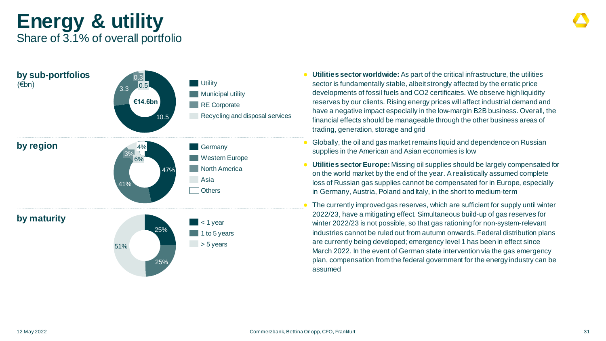### **Energy & utility** Share of 3.1% of overall portfolio

| by sub-portfolios<br>$(\epsilon$ bn) | 0.3<br> 0.5 <br>3.3<br>€14.6bn<br>10.5 | <b>Utility</b><br>Municipal utility<br><b>RE</b> Corporate<br>Recycling and disposal services | <b>Utili</b><br>sect<br>deve<br>rese<br>have<br>finar<br>tradi                                |
|--------------------------------------|----------------------------------------|-----------------------------------------------------------------------------------------------|-----------------------------------------------------------------------------------------------|
| by region                            | 4%<br>3%<br>6%<br>47%<br>41%           | Germany<br><b>Western Europe</b><br><b>North America</b><br>Asia<br><b>Others</b>             | Glob<br>$\bullet$<br>supp<br><b>Utili</b><br>$\bullet$<br>on th<br>loss<br>in G<br><b>The</b> |
| by maturity                          | 25%<br>51%<br>25%                      | < 1 year<br>1 to 5 years<br>> 5 years                                                         | 2022<br>winte<br>indu<br>are o<br>Maro<br>plan<br>----                                        |

- **Ities sector worldwide:** As part of the critical infrastructure, the utilities tor is fundamentally stable, albeit strongly affected by the erratic price elopments of fossil fuels and CO2 certificates. We observe high liquidity erves by our clients. Rising energy prices will affect industrial demand and e a negative impact especially in the low-margin B2B business. Overall, the ncial effects should be manageable through the other business areas of ling, generation, storage and grid
- bally, the oil and gas market remains liquid and dependence on Russian plies in the American and Asian economies is low
- **ities sector Europe:** Missing oil supplies should be largely compensated for he world market by the end of the year. A realistically assumed complete of Russian gas supplies cannot be compensated for in Europe, especially iermany, Austria, Poland and Italy, in the short to medium-term
- currently improved gas reserves, which are sufficient for supply until winter 2/23, have a mitigating effect. Simultaneous build-up of gas reserves for er 2022/23 is not possible, so that gas rationing for non-system-relevant istries cannot be ruled out from autumn onwards. Federal distribution plans currently being developed; emergency level 1 has been in effect since ch 2022. In the event of German state intervention via the gas emergency n, compensation from the federal government for the energy industry can be assumed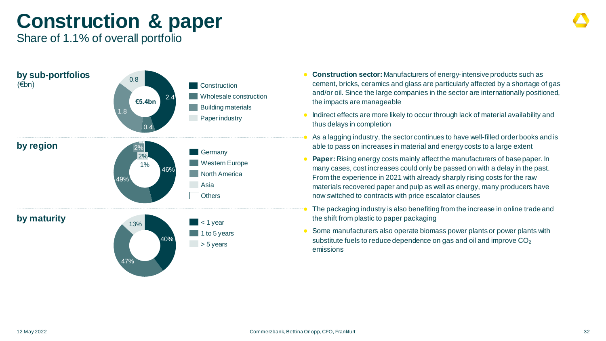## **Construction & paper**

Share of 1.1% of overall portfolio



- **Construction sector:** Manufacturers of energy-intensive products such as cement, bricks, ceramics and glass are particularly affected by a shortage of gas and/or oil. Since the large companies in the sector are internationally positioned, the impacts are manageable
- Indirect effects are more likely to occur through lack of material availability and thus delays in completion
- As a lagging industry, the sector continues to have well-filled order books and is able to pass on increases in material and energy costs to a large extent
- **Paper:** Rising energy costs mainly affect the manufacturers of base paper. In many cases, cost increases could only be passed on with a delay in the past. From the experience in 2021 with already sharply rising costs for the raw materials recovered paper and pulp as well as energy, many producers have now switched to contracts with price escalator clauses
- The packaging industry is also benefiting from the increase in online trade and the shift from plastic to paper packaging
- Some manufacturers also operate biomass power plants or power plants with substitute fuels to reduce dependence on gas and oil and improve  $CO<sub>2</sub>$ emissions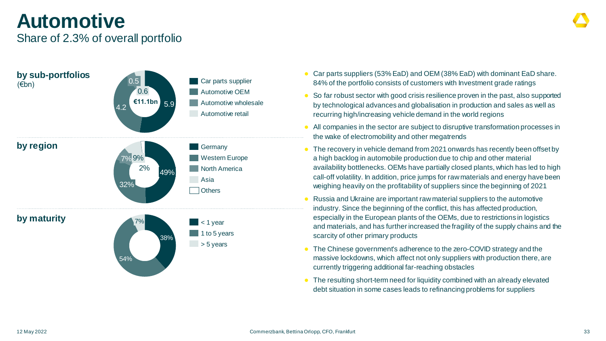## **Automotive**

### Share of 2.3% of overall portfolio



- Car parts suppliers (53% EaD) and OEM (38% EaD) with dominant EaD share. 84% of the portfolio consists of customers with Investment grade ratings
- So far robust sector with good crisis resilience proven in the past, also supported by technological advances and globalisation in production and sales as well as recurring high/increasing vehicle demand in the world regions
- All companies in the sector are subject to disruptive transformation processes in the wake of electromobility and other megatrends
- The recovery in vehicle demand from 2021 onwards has recently been offset by a high backlog in automobile production due to chip and other material availability bottlenecks. OEMs have partially closed plants, which has led to high call-off volatility. In addition, price jumps for raw materials and energy have been weighing heavily on the profitability of suppliers since the beginning of 2021
- Russia and Ukraine are important raw material suppliers to the automotive industry. Since the beginning of the conflict, this has affected production, especially in the European plants of the OEMs, due to restrictions in logistics and materials, and has further increased the fragility of the supply chains and the scarcity of other primary products
- The Chinese government's adherence to the zero-COVID strategy and the massive lockdowns, which affect not only suppliers with production there, are currently triggering additional far-reaching obstacles
- The resulting short-term need for liquidity combined with an already elevated debt situation in some cases leads to refinancing problems for suppliers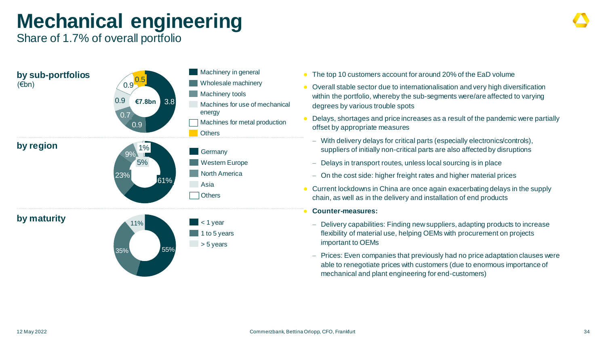## **Mechanical engineering**

Share of 1.7% of overall portfolio



- The top 10 customers account for around 20% of the EaD volume
- Overall stable sector due to internationalisation and very high diversification within the portfolio, whereby the sub-segments were/are affected to varying degrees by various trouble spots
- Delays, shortages and price increases as a result of the pandemic were partially offset by appropriate measures
- − With delivery delays for critical parts (especially electronics/controls), suppliers of initially non-critical parts are also affected by disruptions
- − Delays in transport routes, unless local sourcing is in place
- − On the cost side: higher freight rates and higher material prices
- Current lockdowns in China are once again exacerbating delays in the supply chain, as well as in the delivery and installation of end products
	- **Counter-measures:**
	- − Delivery capabilities: Finding new suppliers, adapting products to increase flexibility of material use, helping OEMs with procurement on projects important to OEMs
	- − Prices: Even companies that previously had no price adaptation clauses were able to renegotiate prices with customers (due to enormous importance of mechanical and plant engineering for end-customers)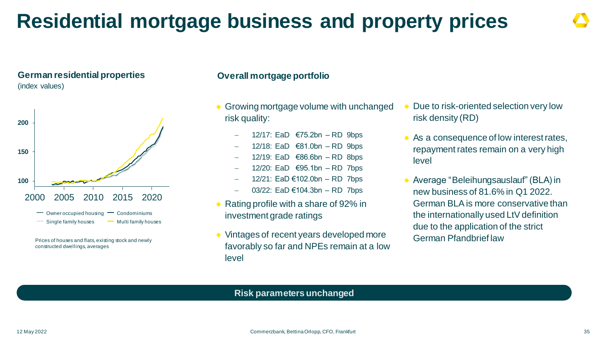## **Residential mortgage business and property prices**

### **German residential properties**

(index values)



Prices of houses and flats, existing stock and newly constructed dwellings, averages

### **Overall mortgage portfolio**

- Growing mortgage volume with unchanged risk quality:
	- − 12/17: EaD €75.2bn RD 9bps
	- − 12/18: EaD €81.0bn RD 9bps
	- − 12/19: EaD €86.6bn RD 8bps
	- − 12/20: EaD €95.1bn RD 7bps
	- − 12/21: EaD €102.0bn RD 7bps
	- − 03/22: EaD €104.3bn RD 7bps
- Rating profile with a share of 92% in investment grade ratings
- Vintages of recent years developed more favorably so far and NPEs remain at a low level
- Due to risk-oriented selection very low risk density (RD)
- As a consequence of low interest rates, repayment rates remain on a very high level
- Average "Beleihungsauslauf" (BLA) in new business of 81.6% in Q1 2022. German BLA is more conservative than the internationally used LtV definition due to the application of the strict German Pfandbrief law

### **Risk parameters unchanged**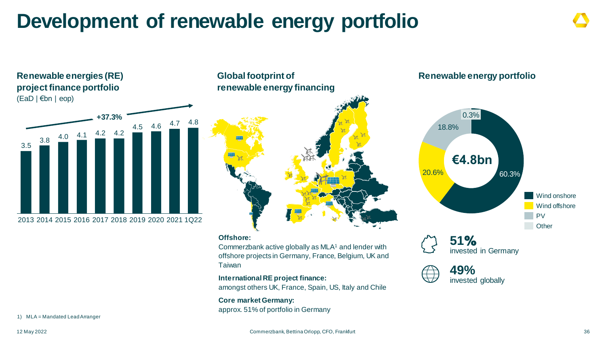## **Development of renewable energy portfolio**



### **Global footprint of renewable energy financing**



#### **Offshore:**

Commerzbank active globally as MLA<sup>1</sup> and lender with offshore projects in Germany, France, Belgium, UK and Taiwan

**International RE project finance:**  amongst others UK, France, Spain, US, Italy and Chile

**Core market Germany:** approx. 51% of portfolio in Germany

### **Renewable energy portfolio**



**51**% invested in Germany



1) MLA = Mandated Lead Arranger

**Renewable energies (RE)**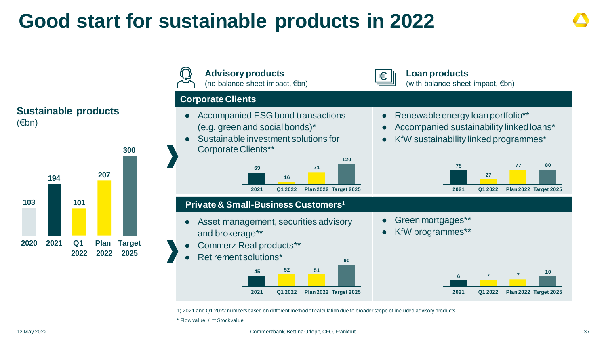## **Good start for sustainable products in 2022**



1) 2021 and Q1 2022 numbers based on different method of calculation due to broader scope of included advisory products.

\* Flow value / \*\* Stock value

#### 12 May 2022 Commerzbank, Bettina Orlopp, CFO, Frankfurt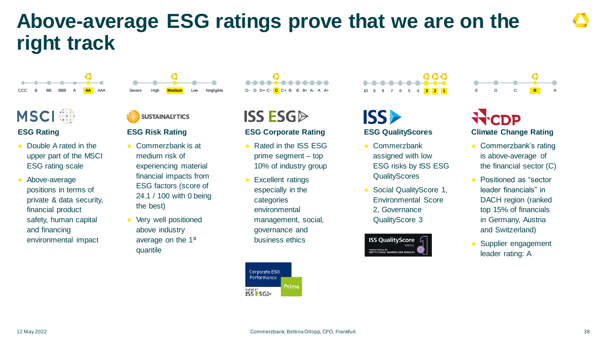## **Above-average ESG ratings prove that we are on the right track**



### **MSCI**

### **ESG Rating**

- Double A rated in the upper part of the MSCI ESG rating scale
- Above-average positions in terms of private & data security, financial product safety, human capital and financing environmental impact



Negligible

### **SUSTAINALYTICS**

### **ESG Risk Rating**

- Commerzbank is at medium risk of experiencing material financial impacts from ESG factors (score of 24.1 / 100 with 0 being the best)
- Very well positioned above industry average on the 1<sup>st</sup> quantile

**ISS ESGD** 

### **ESG Corporate Rating**

- Rated in the ISS ESG prime segment – top 10% of industry group
- **Excellent ratings** especially in the categories environmental management, social, governance and business ethics

Corporate E5G Performance Prime **NTEREY**<br>ISS ESGI>

## ISS)

### **ESG QualityScores**

10 9 8 7 6 5 4 **3 1**

888

- Commerzbank assigned with low ESG risks by ISS ESG **QualityScores**
- Social QualityScore 1, Environmental Score 2, Governance QualityScore 3



E D C **B** A

### **Climate Change Rating**

- Commerzbank's rating is above-average of the financial sector (C)
- Positioned as "sector leader financials" in DACH region (ranked top 15% of financials in Germany, Austria and Switzerland)
- Supplier engagement leader rating: A

12 May 2022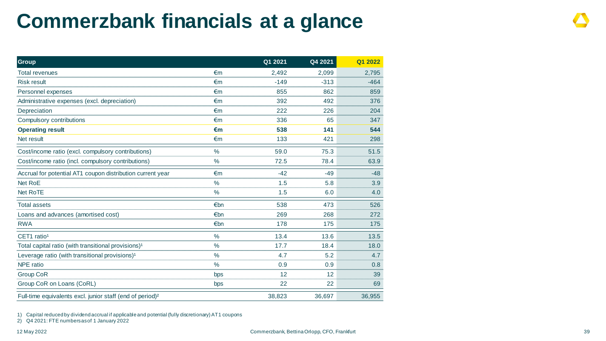## **Commerzbank financials at a glance**

| <b>Group</b>                                                          |               | Q1 2021 | Q4 2021 | Q1 2022 |
|-----------------------------------------------------------------------|---------------|---------|---------|---------|
| <b>Total revenues</b>                                                 | €m            | 2,492   | 2,099   | 2,795   |
| <b>Risk result</b>                                                    | €m            | $-149$  | $-313$  | $-464$  |
| Personnel expenses                                                    | €m            | 855     | 862     | 859     |
| Administrative expenses (excl. depreciation)                          | €m            | 392     | 492     | 376     |
| Depreciation                                                          | €m            | 222     | 226     | 204     |
| Compulsory contributions                                              | €m            | 336     | 65      | 347     |
| <b>Operating result</b>                                               | €m            | 538     | 141     | 544     |
| Net result                                                            | €m            | 133     | 421     | 298     |
| Cost/income ratio (excl. compulsory contributions)                    | $\%$          | 59.0    | 75.3    | 51.5    |
| Cost/income ratio (incl. compulsory contributions)                    | $\frac{0}{0}$ | 72.5    | 78.4    | 63.9    |
| Accrual for potential AT1 coupon distribution current year            | €m            | $-42$   | $-49$   | $-48$   |
| Net RoE                                                               | $\%$          | 1.5     | 5.8     | 3.9     |
| <b>Net RoTE</b>                                                       | $\%$          | 1.5     | 6.0     | 4.0     |
| <b>Total assets</b>                                                   | €bn           | 538     | 473     | 526     |
| Loans and advances (amortised cost)                                   | €bn           | 269     | 268     | 272     |
| <b>RWA</b>                                                            | €bn           | 178     | 175     | 175     |
| CET1 ratio <sup>1</sup>                                               | $\frac{0}{0}$ | 13.4    | 13.6    | 13.5    |
| Total capital ratio (with transitional provisions) <sup>1</sup>       | $\%$          | 17.7    | 18.4    | 18.0    |
| Leverage ratio (with transitional provisions) <sup>1</sup>            | $\frac{0}{0}$ | 4.7     | 5.2     | 4.7     |
| <b>NPE</b> ratio                                                      | $\frac{1}{2}$ | 0.9     | 0.9     | 0.8     |
| <b>Group CoR</b>                                                      | bps           | 12      | 12      | 39      |
| Group CoR on Loans (CoRL)                                             | bps           | 22      | 22      | 69      |
| Full-time equivalents excl. junior staff (end of period) <sup>2</sup> |               | 38,823  | 36,697  | 36,955  |

1) Capital reduced by dividend accrual if applicable and potential (fully discretionary) AT1 coupons

2) Q4 2021: FTE numbers as of 1 January 2022

12 May 2022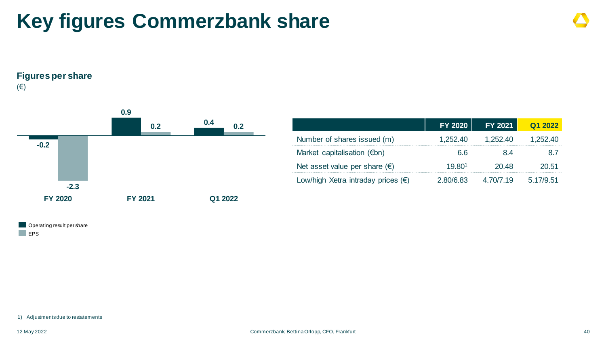## **Key figures Commerzbank share**

**Figures per share**

(€)



|                                             | <b>FY 2020</b> | <b>FY 2021</b> | Q1 2022   |
|---------------------------------------------|----------------|----------------|-----------|
| Number of shares issued (m)                 | 1,252.40       | 1,252.40       | 1,252.40  |
| Market capitalisation $(\epsilon$ bn)       | 66 R           | 84             |           |
| Net asset value per share $(\epsilon)$      | 19.801         | 20 48          | 20.51     |
| Low/high Xetra intraday prices $(\epsilon)$ | 2.80/6.83      | 4.70/7.19      | 5.17/9.51 |

Operating result per share **EPS** 

1) Adjustments due to restatements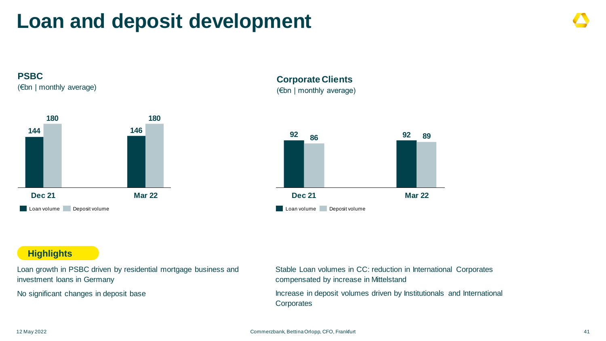## **Loan and deposit development**



(€bn | monthly average)



**Corporate Clients**  (€bn | monthly average)



### **Highlights**

Loan growth in PSBC driven by residential mortgage business and investment loans in Germany

No significant changes in deposit base

Stable Loan volumes in CC: reduction in International Corporates compensated by increase in Mittelstand

Increase in deposit volumes driven by Institutionals and International **Corporates**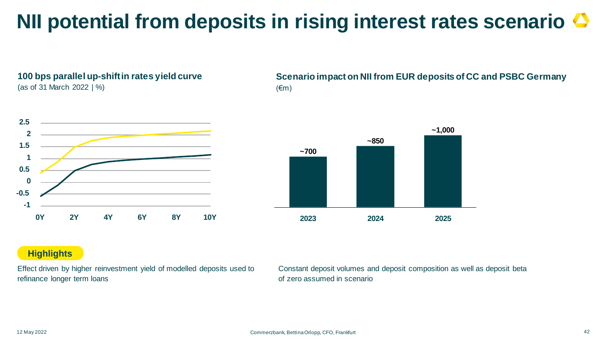## **NII potential from deposits in rising interest rates scenario**

**100 bps parallel up-shift in rates yield curve**  (as of 31 March 2022 | %)



**Scenario impact on NII from EUR deposits of CC and PSBC Germany**  $(\epsilon m)$ 



### **Highlights**

Effect driven by higher reinvestment yield of modelled deposits used to refinance longer term loans

Constant deposit volumes and deposit composition as well as deposit beta of zero assumed in scenario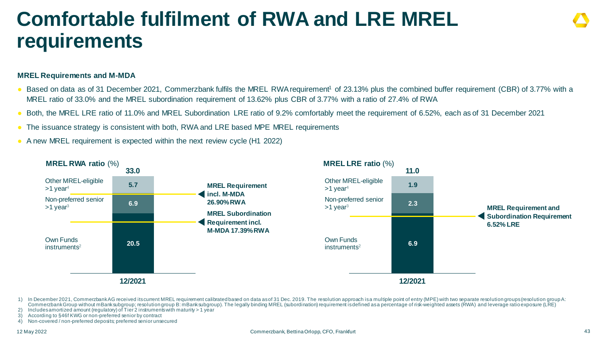## **Comfortable fulfilment of RWA and LRE MREL requirements**

### **MREL Requirements and M-MDA**

- Based on data as of 31 December 2021, Commerzbank fulfils the MREL RWA requirement<sup>1</sup> of 23.13% plus the combined buffer requirement (CBR) of 3.77% with a MREL ratio of 33.0% and the MREL subordination requirement of 13.62% plus CBR of 3.77% with a ratio of 27.4% of RWA
- Both, the MREL LRE ratio of 11.0% and MREL Subordination LRE ratio of 9.2% comfortably meet the requirement of 6.52%, each as of 31 December 2021
- The issuance strategy is consistent with both, RWA and LRE based MPE MREL requirements
- A new MREL requirement is expected within the next review cycle (H1 2022)



- 1) In December 2021, Commerzbank AG received its current MREL requirement calibrated based on data as of 31 Dec. 2019. The resolution approach is a multiple point of entry (MPE) with two separate resolution groups (resolut Commerzbank Group without mBanksubgroup; resolution group B: mBanksubgroup). The legally binding MREL (subordination) requirement is defined as a percentage of risk-weighted assets (RWA) and leverage ratio exposure (LRE)
- 2) Includes amortized amount (regulatory) of Tier 2 instruments with maturity > 1 year
- 3) According to §46f KWG or non-preferred senior by contract
- 4) Non-covered / non-preferred deposits; preferred senior unsecured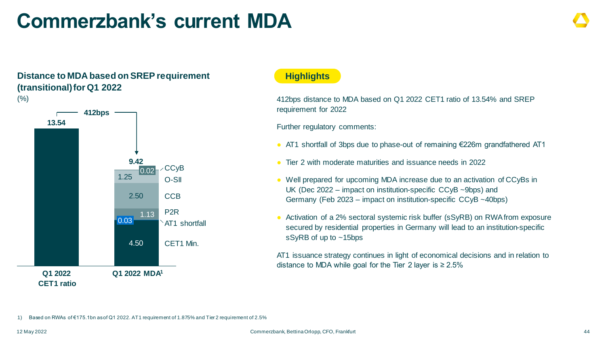## **Commerzbank's current MDA**

### **Distance to MDA based on SREP requirement (transitional) for Q1 2022**



### **Highlights**

412bps distance to MDA based on Q1 2022 CET1 ratio of 13.54% and SREP requirement for 2022

Further regulatory comments:

- AT1 shortfall of 3bps due to phase-out of remaining €226m grandfathered AT1
- Tier 2 with moderate maturities and issuance needs in 2022
- Well prepared for upcoming MDA increase due to an activation of CCyBs in UK (Dec 2022 – impact on institution-specific CCyB ~9bps) and Germany (Feb 2023 – impact on institution-specific CCyB ~40bps)
- Activation of a 2% sectoral systemic risk buffer (sSyRB) on RWA from exposure secured by residential properties in Germany will lead to an institution-specific sSyRB of up to ~15bps

AT1 issuance strategy continues in light of economical decisions and in relation to distance to MDA while goal for the Tier 2 layer is  $\geq 2.5\%$ 

1) Based on RWAs of €175.1bn as of Q1 2022. AT1 requirement of 1.875% and Tier 2 requirement of 2.5%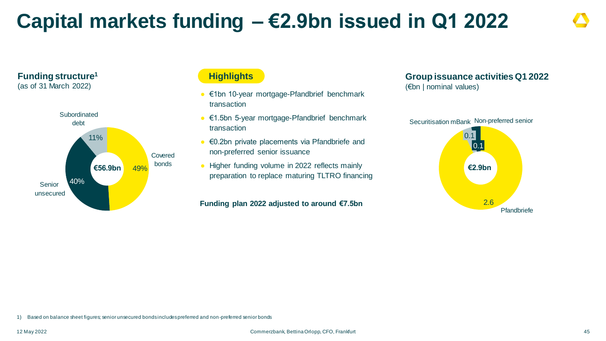## **Capital markets funding – €2.9bn issued in Q1 2022**



**Funding structure<sup>1</sup>** (as of 31 March 2022)

### **Highlights**

- €1bn 10-year mortgage-Pfandbrief benchmark transaction
- €1.5bn 5-year mortgage-Pfandbrief benchmark transaction
- €0.2bn private placements via Pfandbriefe and non-preferred senior issuance
- Higher funding volume in 2022 reflects mainly preparation to replace maturing TLTRO financing

### **Funding plan 2022 adjusted to around €7.5bn**

### **Group issuance activities Q1 2022**

(€bn | nominal values)



1) Based on balance sheet figures; senior unsecured bonds includes preferred and non-preferred senior bonds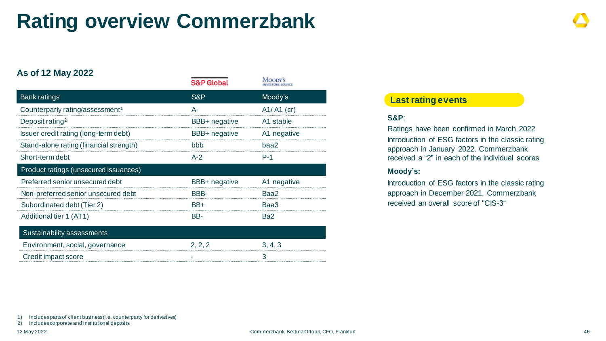## **Rating overview Commerzbank**

### **As of 12 May 2022**

|                                             | <b>S&amp;P Global</b> | *********<br><b>INVESTORS SERVICE</b> |
|---------------------------------------------|-----------------------|---------------------------------------|
| <b>Bank ratings</b>                         | S&P                   | Moody's                               |
| Counterparty rating/assessment <sup>1</sup> | А-                    | $A1/A1$ (cr)                          |
| Deposit rating <sup>2</sup>                 | <b>BBB+</b> negative  | A1 stable                             |
| Issuer credit rating (long-term debt)       | BBB+ negative         | A1 negative                           |
| Stand-alone rating (financial strength)     | hhh                   | baa2                                  |
| Short-term debt                             | $A-2$                 | $P-1$                                 |
| Product ratings (unsecured issuances)       |                       |                                       |
| Preferred senior unsecured debt             | <b>BBB+</b> negative  | A1 negative                           |
| Non-preferred senior unsecured debt         | BBB-                  | Baa2                                  |
| Subordinated debt (Tier 2)                  | BB+                   | Baa3                                  |
| Additional tier 1 (AT1)                     | BB-                   | Ba2                                   |
| Sustainability assessments                  |                       |                                       |
| Environment, social, governance             | 2, 2, 2               | 3, 4, 3                               |
| Credit impact score                         |                       | 3                                     |

### **Last rating events**

### **S&P**:

Ratings have been confirmed in March 2022 Introduction of ESG factors in the classic rating approach in January 2022. Commerzbank received a "2" in each of the individual scores

### **Moody´s:**

Introduction of ESG factors in the classic rating approach in December 2021. Commerzbank received an overall score of "CIS-3"

2) Includes corporate and institutional deposits

Moorwe

<sup>1)</sup> Includes parts of client business (i.e. counterparty for derivatives)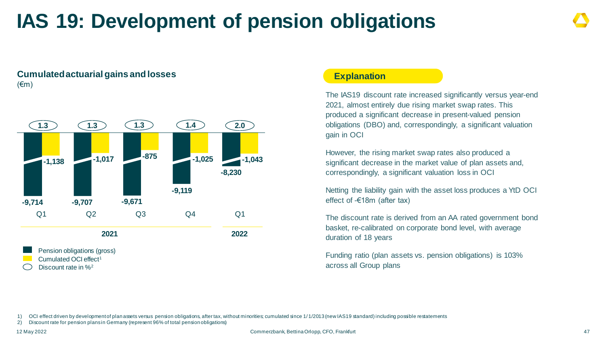## **IAS 19: Development of pension obligations**

### **Cumulated actuarial gains and losses**  $(\epsilon m)$



### **Explanation**

The IAS19 discount rate increased significantly versus year-end 2021, almost entirely due rising market swap rates. This produced a significant decrease in present-valued pension obligations (DBO) and, correspondingly, a significant valuation gain in OCI

However, the rising market swap rates also produced a significant decrease in the market value of plan assets and, correspondingly, a significant valuation loss in OCI

Netting the liability gain with the asset loss produces a YtD OCI effect of -€18m (after tax)

The discount rate is derived from an AA rated government bond basket, re-calibrated on corporate bond level, with average duration of 18 years

Funding ratio (plan assets vs. pension obligations) is 103% across all Group plans

1) OCI effect driven by development of plan assets versus pension obligations, after tax, without minorities; cumulated since 1/1/2013 (new IAS19 standard) including possible restatements

2) Discount rate for pension plans in Germany (represent 96% of total pension obligations)

12 May 2022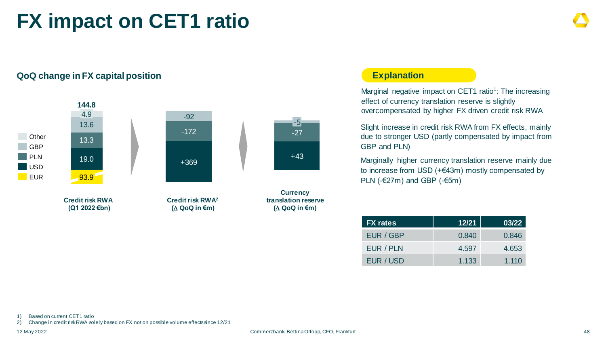## **FX impact on CET1 ratio**



### **QoQ change in FX capital position**

### **Explanation**

Marginal negative impact on CET1 ratio<sup>1</sup>: The increasing effect of currency translation reserve is slightly overcompensated by higher FX driven credit risk RWA

Slight increase in credit risk RWA from FX effects, mainly due to stronger USD (partly compensated by impact from GBP and PLN)

Marginally higher currency translation reserve mainly due to increase from USD (+€43m) mostly compensated by PLN (- $\epsilon$ 27m) and GBP (- $\epsilon$ 5m)

| <b>FX</b> rates | 12/21 | 03/22 |
|-----------------|-------|-------|
| EUR / GBP       | 0.840 | 0.846 |
| EUR / PLN       | 4.597 | 4.653 |
| EUR / USD       | 1.133 | 1.110 |

1) Based on current CET1 ratio

2) Change in credit risk RWA solely based on FX not on possible volume effects since 12/21

12 May 2022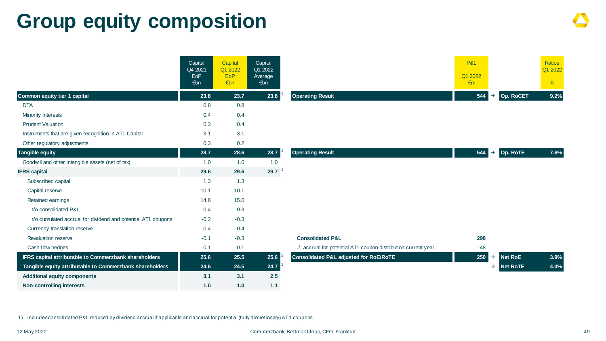## **Group equity composition**

|                                                              | Capital<br>Q4 2021<br>EoP<br>€bn | Capital<br>Q1 2022<br>EoP<br>€bn | Capital<br>Q1 2022<br>Average<br>€bn |                                                                | P&L<br>Q1 2022<br>$\epsilon$ m |                                  | Ratios<br>Q1 2022<br>$\frac{9}{6}$ |
|--------------------------------------------------------------|----------------------------------|----------------------------------|--------------------------------------|----------------------------------------------------------------|--------------------------------|----------------------------------|------------------------------------|
| Common equity tier 1 capital                                 | 23.8                             | 23.7                             | 23.8                                 | <b>Operating Result</b>                                        | 544                            | Op. RoCET<br>$\rightarrow$       | 9.2%                               |
| <b>DTA</b>                                                   | 0.8                              | 0.8                              |                                      |                                                                |                                |                                  |                                    |
| Minority interests                                           | 0.4                              | 0.4                              |                                      |                                                                |                                |                                  |                                    |
| <b>Prudent Valuation</b>                                     | 0.3                              | 0.4                              |                                      |                                                                |                                |                                  |                                    |
| Instruments that are given recognition in AT1 Capital        | 3.1                              | 3.1                              |                                      |                                                                |                                |                                  |                                    |
| Other regulatory adjustments                                 | 0.3                              | 0.2                              |                                      |                                                                |                                |                                  |                                    |
| <b>Tangible equity</b>                                       | 28.7                             | 28.6                             | 28.7                                 | <b>Operating Result</b>                                        | 544                            | Op. RoTE<br>$\rightarrow$        | 7.6%                               |
| Goodwill and other intangible assets (net of tax)            | 1.0                              | 1.0                              | 1.0                                  |                                                                |                                |                                  |                                    |
| <b>IFRS capital</b>                                          | 29.6                             | 29.6                             | 29.7                                 |                                                                |                                |                                  |                                    |
| Subscribed capital                                           | 1.3                              | 1.3                              |                                      |                                                                |                                |                                  |                                    |
| Capital reserve                                              | 10.1                             | 10.1                             |                                      |                                                                |                                |                                  |                                    |
| Retained earnings                                            | 14.8                             | 15.0                             |                                      |                                                                |                                |                                  |                                    |
| t/o consolidated P&L                                         | 0.4                              | 0.3                              |                                      |                                                                |                                |                                  |                                    |
| t/o cumulated accrual for dividend and potential AT1 coupons | $-0.2$                           | $-0.3$                           |                                      |                                                                |                                |                                  |                                    |
| Currency translation reserve                                 | $-0.4$                           | $-0.4$                           |                                      |                                                                |                                |                                  |                                    |
| <b>Revaluation reserve</b>                                   | $-0.1$                           | $-0.3$                           |                                      | <b>Consolidated P&amp;L</b>                                    | 298                            |                                  |                                    |
| Cash flow hedges                                             | $-0.1$                           | $-0.1$                           |                                      | ./. accrual for potential AT1 coupon distribution current year | $-48$                          |                                  |                                    |
| IFRS capital attributable to Commerzbank shareholders        | 25.6                             | 25.5                             | 25.6                                 | <b>Consolidated P&amp;L adjusted for RoE/RoTE</b>              | 250                            | <b>Net RoE</b><br>$\rightarrow$  | 3.9%                               |
| Tangible equity attributable to Commerzbank shareholders     | 24.6                             | 24.5                             | 24.7                                 |                                                                |                                | <b>Net RoTE</b><br>$\rightarrow$ | 4.0%                               |
| <b>Additional equity components</b>                          | 3.1                              | 3.1                              | 2.5                                  |                                                                |                                |                                  |                                    |
| <b>Non-controlling interests</b>                             | 1.0                              | 1.0                              | 1.1                                  |                                                                |                                |                                  |                                    |

1) Includes consolidated P&L reduced by dividend accrual if applicable and accrual for potential (fully discretionary) AT1 coupons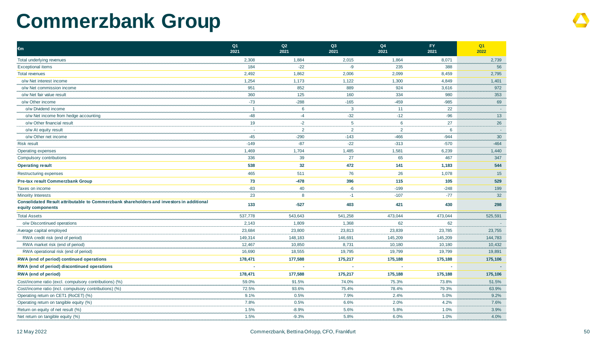## **Commerzbank Group**

| €m                                                                                                            | Q <sub>1</sub><br>2021 | Q2<br>2021     | Q3<br>2021     | Q4<br>2021     | <b>FY</b><br>2021 | Q <sub>1</sub><br>2022 |
|---------------------------------------------------------------------------------------------------------------|------------------------|----------------|----------------|----------------|-------------------|------------------------|
| Total underlying revenues                                                                                     | 2,308                  | 1,884          | 2,015          | 1,864          | 8,071             | 2,739                  |
| <b>Exceptional items</b>                                                                                      | 184                    | $-22$          | $-9$           | 235            | 388               | 56                     |
| <b>Total revenues</b>                                                                                         | 2,492                  | 1,862          | 2,006          | 2,099          | 8,459             | 2,795                  |
| o/w Net interest income                                                                                       | 1,254                  | 1,173          | 1,122          | 1,300          | 4,849             | 1,401                  |
| o/w Net commission income                                                                                     | 951                    | 852            | 889            | 924            | 3,616             | 972                    |
| o/w Net fair value result                                                                                     | 360                    | 125            | 160            | 334            | 980               | 353                    |
| o/w Other income                                                                                              | $-73$                  | $-288$         | $-165$         | $-459$         | $-985$            | 69                     |
| o/w Dividend income                                                                                           | $\overline{1}$         | 6              | 3              | 11             | 22                |                        |
| o/w Net income from hedge accounting                                                                          | $-48$                  | $-4$           | $-32$          | $-12$          | $-96$             | 13                     |
| o/w Other financial result                                                                                    | 19                     | $-2$           | 5              | 6              | 27                | 26                     |
| o/w At equity result                                                                                          | ×.                     | $\overline{2}$ | $\overline{2}$ | $\overline{2}$ | 6                 |                        |
| o/w Other net income                                                                                          | $-45$                  | $-290$         | $-143$         | $-466$         | $-944$            | 30                     |
| <b>Risk result</b>                                                                                            | $-149$                 | $-87$          | $-22$          | $-313$         | $-570$            | $-464$                 |
| Operating expenses                                                                                            | 1,469                  | 1,704          | 1,485          | 1,581          | 6,239             | 1,440                  |
| Compulsory contributions                                                                                      | 336                    | 39             | 27             | 65             | 467               | 347                    |
| <b>Operating result</b>                                                                                       | 538                    | 32             | 472            | 141            | 1,183             | 544                    |
| Restructuring expenses                                                                                        | 465                    | 511            | 76             | 26             | 1,078             | 15                     |
| Pre-tax result Commerzbank Group                                                                              | 73                     | $-478$         | 396            | 115            | 105               | 529                    |
| Taxes on income                                                                                               | $-83$                  | 40             | $-6$           | $-199$         | $-248$            | 199                    |
| <b>Minority Interests</b>                                                                                     | 23                     | 8              | $-1$           | $-107$         | $-77$             | 32                     |
| Consolidated Result attributable to Commerzbank shareholders and investors in additional<br>equity components | 133                    | $-527$         | 403            | 421            | 430               | 298                    |
| <b>Total Assets</b>                                                                                           | 537,778                | 543,643        | 541,258        | 473,044        | 473,044           | 525,591                |
| o/w Discontinued operations                                                                                   | 2,143                  | 1,809          | 1,368          | 62             | 62                |                        |
| Average capital employed                                                                                      | 23,684                 | 23,800         | 23,813         | 23,839         | 23,785            | 23,755                 |
| RWA credit risk (end of period)                                                                               | 149,314                | 148,183        | 146,691        | 145,209        | 145,209           | 144,783                |
| RWA market risk (end of period)                                                                               | 12,467                 | 10,850         | 8,731          | 10,180         | 10,180            | 10,432                 |
| RWA operational risk (end of period)                                                                          | 16,690                 | 18,555         | 19,795         | 19,799         | 19,799            | 19,891                 |
| RWA (end of period) continued operations                                                                      | 178,471                | 177,588        | 175,217        | 175,188        | 175,188           | 175,106                |
| RWA (end of period) discontinued operations                                                                   |                        |                |                |                |                   |                        |
| <b>RWA</b> (end of period)                                                                                    | 178,471                | 177,588        | 175,217        | 175,188        | 175,188           | 175,106                |
| Cost/income ratio (excl. compulsory contributions) (%)                                                        | 59.0%                  | 91.5%          | 74.0%          | 75.3%          | 73.8%             | 51.5%                  |
| Cost/income ratio (incl. compulsory contributions) (%)                                                        | 72.5%                  | 93.6%          | 75.4%          | 78.4%          | 79.3%             | 63.9%                  |
| Operating return on CET1 (RoCET) (%)                                                                          | 9.1%                   | 0.5%           | 7.9%           | 2.4%           | 5.0%              | 9.2%                   |
| Operating return on tangible equity (%)                                                                       | 7.8%                   | 0.5%           | 6.6%           | 2.0%           | 4.2%              | 7.6%                   |
| Return on equity of net result (%)                                                                            | 1.5%                   | $-8.9%$        | 5.6%           | 5.8%           | 1.0%              | 3.9%                   |
| Net return on tangible equity (%)                                                                             | 1.5%                   | $-9.3%$        | 5.8%           | 6.0%           | 1.0%              | 4.0%                   |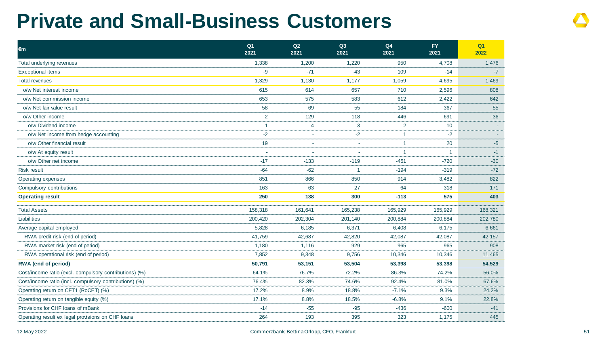## **Private and Small-Business Customers**

| €m                                                     | Q <sub>1</sub><br>2021 | Q2<br>2021 | Q3<br>2021     | Q4<br>2021     | <b>FY</b><br>2021 | Q1<br>2022 |
|--------------------------------------------------------|------------------------|------------|----------------|----------------|-------------------|------------|
| Total underlying revenues                              | 1,338                  | 1,200      | 1,220          | 950            | 4,708             | 1,476      |
| <b>Exceptional items</b>                               | -9                     | $-71$      | $-43$          | 109            | $-14$             | $-7$       |
| <b>Total revenues</b>                                  | 1,329                  | 1,130      | 1,177          | 1,059          | 4,695             | 1,469      |
| o/w Net interest income                                | 615                    | 614        | 657            | 710            | 2,596             | 808        |
| o/w Net commission income                              | 653                    | 575        | 583            | 612            | 2,422             | 642        |
| o/w Net fair value result                              | 58                     | 69         | 55             | 184            | 367               | 55         |
| o/w Other income                                       | $\overline{2}$         | $-129$     | $-118$         | $-446$         | $-691$            | $-36$      |
| o/w Dividend income                                    | $\mathbf{1}$           | 4          | $\mathbf{3}$   | $\overline{2}$ | 10                | $\sim$     |
| o/w Net income from hedge accounting                   | $-2$                   |            | $-2$           | -1             | $-2$              |            |
| o/w Other financial result                             | 19                     |            | ÷.             | $\overline{1}$ | 20                | $-5$       |
| o/w At equity result                                   | $\sim$                 |            | $\sim$         | $\overline{1}$ | $\overline{1}$    | $-1$       |
| o/w Other net income                                   | $-17$                  | $-133$     | $-119$         | $-451$         | $-720$            | $-30$      |
| <b>Risk result</b>                                     | $-64$                  | $-62$      | $\overline{1}$ | $-194$         | $-319$            | $-72$      |
| Operating expenses                                     | 851                    | 866        | 850            | 914            | 3,482             | 822        |
| Compulsory contributions                               | 163                    | 63         | 27             | 64             | 318               | 171        |
| <b>Operating result</b>                                | 250                    | 138        | 300            | $-113$         | 575               | 403        |
| <b>Total Assets</b>                                    | 158,318                | 161,641    | 165,238        | 165,929        | 165,929           | 168,321    |
| Liabilities                                            | 200,420                | 202,304    | 201,140        | 200,884        | 200,884           | 202,780    |
| Average capital employed                               | 5,828                  | 6,185      | 6,371          | 6,408          | 6,175             | 6,661      |
| RWA credit risk (end of period)                        | 41,759                 | 42,687     | 42,820         | 42,087         | 42,087            | 42,157     |
| RWA market risk (end of period)                        | 1,180                  | 1,116      | 929            | 965            | 965               | 908        |
| RWA operational risk (end of period)                   | 7,852                  | 9,348      | 9,756          | 10,346         | 10,346            | 11,465     |
| <b>RWA</b> (end of period)                             | 50,791                 | 53,151     | 53,504         | 53,398         | 53,398            | 54,529     |
| Cost/income ratio (excl. compulsory contributions) (%) | 64.1%                  | 76.7%      | 72.2%          | 86.3%          | 74.2%             | 56.0%      |
| Cost/income ratio (incl. compulsory contributions) (%) | 76.4%                  | 82.3%      | 74.6%          | 92.4%          | 81.0%             | 67.6%      |
| Operating return on CET1 (RoCET) (%)                   | 17.2%                  | 8.9%       | 18.8%          | $-7.1%$        | 9.3%              | 24.2%      |
| Operating return on tangible equity (%)                | 17.1%                  | 8.8%       | 18.5%          | $-6.8%$        | 9.1%              | 22.8%      |
| Provisions for CHF loans of mBank                      | $-14$                  | $-55$      | $-95$          | $-436$         | $-600$            | $-41$      |
| Operating result ex legal provisions on CHF loans      | 264                    | 193        | 395            | 323            | 1,175             | 445        |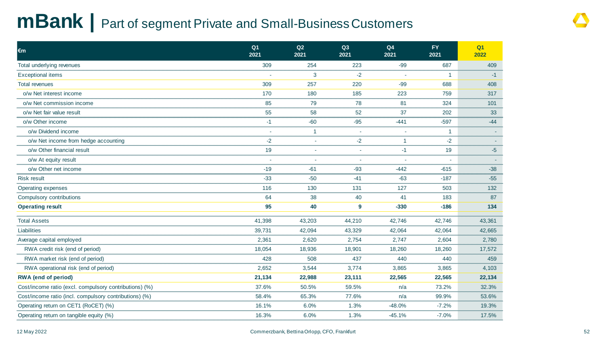## **mBank |** Part of segment Private and Small-Business Customers

| €m                                                     | Q <sub>1</sub><br>2021 | Q2<br>2021     | Q3<br>2021 | Q4<br>2021 | <b>FY</b><br>2021 | Q <sub>1</sub><br>2022 |
|--------------------------------------------------------|------------------------|----------------|------------|------------|-------------------|------------------------|
| Total underlying revenues                              | 309                    | 254            | 223        | $-99$      | 687               | 409                    |
| <b>Exceptional items</b>                               |                        | 3              | $-2$       | $\sim$     | $\overline{1}$    | $-1$                   |
| <b>Total revenues</b>                                  | 309                    | 257            | 220        | $-99$      | 688               | 408                    |
| o/w Net interest income                                | 170                    | 180            | 185        | 223        | 759               | 317                    |
| o/w Net commission income                              | 85                     | 79             | 78         | 81         | 324               | 101                    |
| o/w Net fair value result                              | 55                     | 58             | 52         | 37         | 202               | 33                     |
| o/w Other income                                       | $-1$                   | $-60$          | $-95$      | $-441$     | $-597$            | $-44$                  |
| o/w Dividend income                                    |                        | $\overline{1}$ | $\sim$     |            | $\mathbf 1$       |                        |
| o/w Net income from hedge accounting                   | $-2$                   |                | $-2$       | 1          | $-2$              |                        |
| o/w Other financial result                             | 19                     |                | $\sim$     | $-1$       | 19                | $-5$                   |
| o/w At equity result                                   |                        |                |            |            |                   |                        |
| o/w Other net income                                   | $-19$                  | $-61$          | $-93$      | $-442$     | $-615$            | $-38$                  |
| <b>Risk result</b>                                     | $-33$                  | $-50$          | $-41$      | $-63$      | $-187$            | $-55$                  |
| Operating expenses                                     | 116                    | 130            | 131        | 127        | 503               | 132                    |
| Compulsory contributions                               | 64                     | 38             | 40         | 41         | 183               | 87                     |
| <b>Operating result</b>                                | 95                     | 40             | 9          | $-330$     | $-186$            | 134                    |
| <b>Total Assets</b>                                    | 41,398                 | 43,203         | 44,210     | 42,746     | 42,746            | 43,361                 |
| Liabilities                                            | 39,731                 | 42,094         | 43,329     | 42,064     | 42,064            | 42,665                 |
| Average capital employed                               | 2,361                  | 2,620          | 2,754      | 2,747      | 2,604             | 2,780                  |
| RWA credit risk (end of period)                        | 18,054                 | 18,936         | 18,901     | 18,260     | 18,260            | 17,572                 |
| RWA market risk (end of period)                        | 428                    | 508            | 437        | 440        | 440               | 459                    |
| RWA operational risk (end of period)                   | 2,652                  | 3,544          | 3,774      | 3,865      | 3,865             | 4,103                  |
| <b>RWA</b> (end of period)                             | 21,134                 | 22,988         | 23,111     | 22,565     | 22,565            | 22,134                 |
| Cost/income ratio (excl. compulsory contributions) (%) | 37.6%                  | 50.5%          | 59.5%      | n/a        | 73.2%             | 32.3%                  |
| Cost/income ratio (incl. compulsory contributions) (%) | 58.4%                  | 65.3%          | 77.6%      | n/a        | 99.9%             | 53.6%                  |
| Operating return on CET1 (RoCET) (%)                   | 16.1%                  | 6.0%           | 1.3%       | $-48.0%$   | $-7.2%$           | 19.3%                  |
| Operating return on tangible equity (%)                | 16.3%                  | 6.0%           | 1.3%       | $-45.1%$   | $-7.0%$           | 17.5%                  |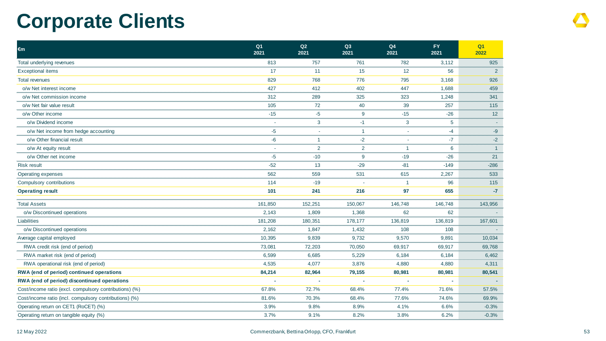## **Corporate Clients**

| €m                                                     | Q <sub>1</sub><br>2021 | Q2<br>2021     | Q3<br>2021   | Q4<br>2021   | <b>FY</b><br>2021 | Q <sub>1</sub><br>2022 |
|--------------------------------------------------------|------------------------|----------------|--------------|--------------|-------------------|------------------------|
| Total underlying revenues                              | 813                    | 757            | 761          | 782          | 3,112             | 925                    |
| <b>Exceptional items</b>                               | 17                     | 11             | 15           | 12           | 56                | $\mathbf{2}$           |
| <b>Total revenues</b>                                  | 829                    | 768            | 776          | 795          | 3,168             | 926                    |
| o/w Net interest income                                | 427                    | 412            | 402          | 447          | 1,688             | 459                    |
| o/w Net commission income                              | 312                    | 289            | 325          | 323          | 1,248             | 341                    |
| o/w Net fair value result                              | 105                    | 72             | 40           | 39           | 257               | 115                    |
| o/w Other income                                       | $-15$                  | $-5$           | 9            | $-15$        | $-26$             | 12                     |
| o/w Dividend income                                    |                        | 3              | $-1$         | 3            | 5                 |                        |
| o/w Net income from hedge accounting                   | $-5$                   | $\sim$         | $\mathbf{1}$ | ÷.           | $-4$              | $-9$                   |
| o/w Other financial result                             | $-6$                   | $\mathbf{1}$   | $-2$         | $\sim$       | $-7$              | $-2$                   |
| o/w At equity result                                   | ×.                     | $\overline{2}$ | 2            | $\mathbf{1}$ | 6                 | $\overline{1}$         |
| o/w Other net income                                   | $-5$                   | $-10$          | 9            | $-19$        | $-26$             | 21                     |
| <b>Risk result</b>                                     | $-52$                  | 13             | $-29$        | $-81$        | $-149$            | $-286$                 |
| Operating expenses                                     | 562                    | 559            | 531          | 615          | 2,267             | 533                    |
| Compulsory contributions                               | 114                    | $-19$          |              | -1           | 96                | 115                    |
| <b>Operating result</b>                                | 101                    | 241            | 216          | 97           | 655               | $-7$                   |
| <b>Total Assets</b>                                    | 161,850                | 152,251        | 150,067      | 146,748      | 146,748           | 143,956                |
| o/w Discontinued operations                            | 2,143                  | 1,809          | 1,368        | 62           | 62                |                        |
| Liabilities                                            | 181,208                | 180,351        | 178,177      | 136,819      | 136,819           | 167,601                |
| o/w Discontinued operations                            | 2,162                  | 1,847          | 1,432        | 108          | 108               |                        |
| Average capital employed                               | 10,395                 | 9,839          | 9,732        | 9,570        | 9,891             | 10,034                 |
| RWA credit risk (end of period)                        | 73,081                 | 72,203         | 70,050       | 69,917       | 69,917            | 69,768                 |
| RWA market risk (end of period)                        | 6,599                  | 6,685          | 5,229        | 6,184        | 6,184             | 6,462                  |
| RWA operational risk (end of period)                   | 4,535                  | 4,077          | 3,876        | 4,880        | 4,880             | 4,311                  |
| RWA (end of period) continued operations               | 84,214                 | 82,964         | 79,155       | 80,981       | 80,981            | 80,541                 |
| RWA (end of period) discontinued operations            |                        | ÷              |              |              | ä,                |                        |
| Cost/income ratio (excl. compulsory contributions) (%) | 67.8%                  | 72.7%          | 68.4%        | 77.4%        | 71.6%             | 57.5%                  |
| Cost/income ratio (incl. compulsory contributions) (%) | 81.6%                  | 70.3%          | 68.4%        | 77.6%        | 74.6%             | 69.9%                  |
| Operating return on CET1 (RoCET) (%)                   | 3.9%                   | 9.8%           | 8.9%         | 4.1%         | 6.6%              | $-0.3%$                |
| Operating return on tangible equity (%)                | 3.7%                   | 9.1%           | 8.2%         | 3.8%         | 6.2%              | $-0.3%$                |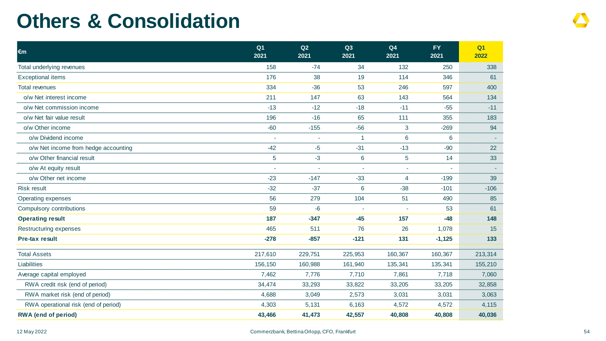## **Others & Consolidation**

| €m                                   | Q <sub>1</sub><br>2021 | Q2<br>2021               | Q3<br>2021     | Q4<br>2021 | <b>FY</b><br>2021 | Q1<br>2022 |
|--------------------------------------|------------------------|--------------------------|----------------|------------|-------------------|------------|
| Total underlying revenues            | 158                    | $-74$                    | 34             | 132        | 250               | 338        |
| <b>Exceptional items</b>             | 176                    | 38                       | 19             | 114        | 346               | 61         |
| <b>Total revenues</b>                | 334                    | $-36$                    | 53             | 246        | 597               | 400        |
| o/w Net interest income              | 211                    | 147                      | 63             | 143        | 564               | 134        |
| o/w Net commission income            | $-13$                  | $-12$                    | $-18$          | $-11$      | $-55$             | $-11$      |
| o/w Net fair value result            | 196                    | $-16$                    | 65             | 111        | 355               | 183        |
| o/w Other income                     | $-60$                  | $-155$                   | $-56$          | 3          | $-269$            | 94         |
| o/w Dividend income                  | ÷,                     |                          | $\mathbf{1}$   | 6          | 6                 |            |
| o/w Net income from hedge accounting | $-42$                  | $-5$                     | $-31$          | $-13$      | $-90$             | 22         |
| o/w Other financial result           | 5                      | $-3$                     | 6              | 5          | 14                | 33         |
| o/w At equity result                 | ÷,                     | $\overline{\phantom{a}}$ | $\blacksquare$ | $\sim$     | $\sim$            |            |
| o/w Other net income                 | $-23$                  | $-147$                   | $-33$          | 4          | $-199$            | 39         |
| <b>Risk result</b>                   | $-32$                  | $-37$                    | 6              | $-38$      | $-101$            | $-106$     |
| Operating expenses                   | 56                     | 279                      | 104            | 51         | 490               | 85         |
| Compulsory contributions             | 59                     | $-6$                     |                |            | 53                | 61         |
| <b>Operating result</b>              | 187                    | $-347$                   | $-45$          | 157        | $-48$             | 148        |
| Restructuring expenses               | 465                    | 511                      | 76             | 26         | 1,078             | 15         |
| Pre-tax result                       | $-278$                 | $-857$                   | $-121$         | 131        | $-1,125$          | 133        |
| <b>Total Assets</b>                  | 217,610                | 229,751                  | 225,953        | 160,367    | 160,367           | 213,314    |
| <b>Liabilities</b>                   | 156,150                | 160,988                  | 161,940        | 135,341    | 135,341           | 155,210    |
| Average capital employed             | 7,462                  | 7,776                    | 7,710          | 7,861      | 7,718             | 7,060      |
| RWA credit risk (end of period)      | 34,474                 | 33,293                   | 33,822         | 33,205     | 33,205            | 32,858     |
| RWA market risk (end of period)      | 4,688                  | 3,049                    | 2,573          | 3,031      | 3,031             | 3,063      |
| RWA operational risk (end of period) | 4,303                  | 5,131                    | 6,163          | 4,572      | 4,572             | 4,115      |
| <b>RWA</b> (end of period)           | 43,466                 | 41,473                   | 42,557         | 40,808     | 40,808            | 40,036     |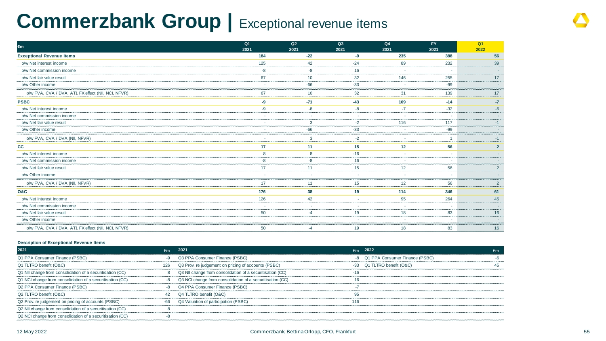## **Commerzbank Group | Exceptional revenue items**

| $\epsilon$ m                                       | Q1<br>2021 | Q2<br>2021   | Q3<br>2021 | Q4<br>2021               | FY.<br>2021 | Q <sub>1</sub><br>2022   |
|----------------------------------------------------|------------|--------------|------------|--------------------------|-------------|--------------------------|
| <b>Exceptional Revenue Items</b>                   | 184        | $-22$        | -9         | 235                      | 388         | 56                       |
| o/w Net interest income                            | 125        | 42           | $-24$      | 89                       | 232         | 39                       |
| o/w Net commission income                          | $-8$       | $-8$         | 16         | $\overline{\phantom{a}}$ | $\sim$      | $\overline{\phantom{a}}$ |
| o/w Net fair value result                          | 67         | 10           | 32         | 146                      | 255         | 17                       |
| o/w Other income                                   | $\sim$     | $-66$        | $-33$      | $\overline{\phantom{a}}$ | $-99$       | ٠                        |
| o/w FVA, CVA / DVA, AT1 FX effect (NII, NCI, NFVR) | 67         | 10           | 32         | 31                       | 139         | 17                       |
| <b>PSBC</b>                                        | -9         | $-71$        | $-43$      | 109                      | $-14$       | $-7$                     |
| o/w Net interest income                            | $-9$       | -8           | $-8$       | $-7$                     | $-32$       | $-6$                     |
| o/w Net commission income                          | $\sim$     | $\sim$       | $\sim$     | $\overline{\phantom{a}}$ | ÷           | ٠                        |
| o/w Net fair value result                          | $\sim$     | 3            | $-2$       | 116                      | 117         | $-1$                     |
| o/w Other income                                   | ÷          | $-66$        | $-33$      | $\overline{\phantom{a}}$ | $-99$       | ٠                        |
| o/w FVA, CVA / DVA (NII, NFVR)                     | ÷          | $\mathbf{3}$ | $-2$       | $\sim$                   |             | $-1$                     |
| cc                                                 | 17         | 11           | 15         | 12                       | 56          | $2^{\circ}$              |
| o/w Net interest income                            | 8          | 8            | $-16$      | $\sim$                   | $\sim$      | ÷                        |
| o/w Net commission income                          | $-8$       | -8           | 16         | $\overline{\phantom{a}}$ | $\sim$      | ÷                        |
| o/w Net fair value result                          | 17         | 11           | 15         | 12                       | 56          | $2^{\circ}$              |
| o/w Other income                                   | ÷          | $\sim$       | ٠          | $\sim$                   | ٠.          | ٠                        |
| o/w FVA, CVA / DVA (NII, NFVR)                     | 17         | 11           | 15         | 12                       | 56          | $2^{\circ}$              |
| <b>O&amp;C</b>                                     | 176        | 38           | 19         | 114                      | 346         | 61                       |
| o/w Net interest income                            | 126        | 42           | $\sim$     | 95                       | 264         | 45                       |
| o/w Net commission income                          | $\sim$     | $\sim$       | $\sim$     | ۰.                       | н.          | ÷                        |
| o/w Net fair value result                          | 50         | $-4$         | 19         | 18                       | 83          | 16                       |
| o/w Other income                                   | ٠          | $\sim$       | ٠          | $\sim$                   | $\sim$      | ٠                        |
| o/w FVA, CVA / DVA, AT1 FX effect (NII, NCI, NFVR) | 50         | $-4$         | 19         | 18                       | 83          | 16                       |

#### **Description of Exceptional Revenue Items**

| 2021                                                      | $\epsilon$ m | 2021                                                      |       | $\epsilon$ m 2022              | €m |
|-----------------------------------------------------------|--------------|-----------------------------------------------------------|-------|--------------------------------|----|
| Q1 PPA Consumer Finance (PSBC)                            |              | Q3 PPA Consumer Finance (PSBC)                            | -8    | Q1 PPA Consumer Finance (PSBC) |    |
| Q1 TLTRO benefit (O&C)                                    | 126          | Q3 Prov. re judgement on pricing of accounts (PSBC)       |       | -33 Q1 TLTRO benefit (O&C)     |    |
| Q1 NII change from consolidation of a securitisation (CC) | 8            | Q3 NII change from consolidation of a securitisation (CC) | $-16$ |                                |    |
| Q1 NCI change from consolidation of a securitisation (CC) | -8           | Q3 NCI change from consolidation of a securitisation (CC) | 16    |                                |    |
| Q2 PPA Consumer Finance (PSBC)                            | -8           | Q4 PPA Consumer Finance (PSBC)                            |       |                                |    |
| Q2 TLTRO benefit (O&C)                                    | 42           | Q4 TLTRO benefit (O&C)                                    | 95    |                                |    |
| Q2 Prov. re judgement on pricing of accounts (PSBC)       | $-66$        | Q4 Valuation of participation (PSBC)                      | 116   |                                |    |
| Q2 NII change from consolidation of a securitisation (CC) |              |                                                           |       |                                |    |
| Q2 NCI change from consolidation of a securitisation (CC) |              |                                                           |       |                                |    |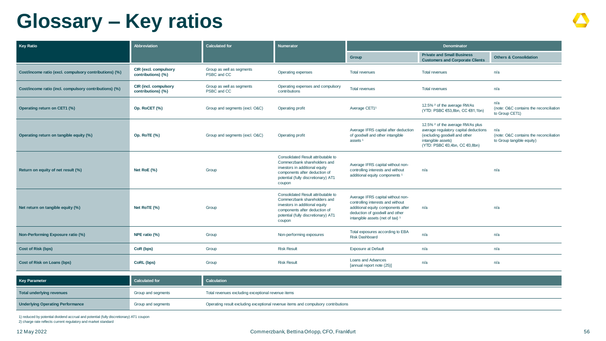## **Glossary – Key ratios**

| Key Ratio                                              | <b>Abbreviation</b>                         | <b>Calculated for</b>                              | <b>Numerator</b>                                                                                                                                                                        | <b>Denominator</b>                                                                                                                                                                  |                                                                                                                                                                                        |                                                                            |  |
|--------------------------------------------------------|---------------------------------------------|----------------------------------------------------|-----------------------------------------------------------------------------------------------------------------------------------------------------------------------------------------|-------------------------------------------------------------------------------------------------------------------------------------------------------------------------------------|----------------------------------------------------------------------------------------------------------------------------------------------------------------------------------------|----------------------------------------------------------------------------|--|
|                                                        |                                             |                                                    |                                                                                                                                                                                         | Group                                                                                                                                                                               | <b>Private and Small Business</b><br><b>Customers and Corporate Clients</b>                                                                                                            | <b>Others &amp; Consolidation</b>                                          |  |
| Cost/income ratio (excl. compulsory contributions) (%) | CIR (excl. compulsory<br>contributions) (%) | Group as well as segments<br>PSBC and CC           | Operating expenses                                                                                                                                                                      | <b>Total revenues</b>                                                                                                                                                               | <b>Total revenues</b>                                                                                                                                                                  | n/a                                                                        |  |
| Cost/income ratio (incl. compulsory contributions) (%) | CIR (incl. compulsory<br>contributions) (%) | Group as well as segments<br>PSBC and CC           | Operating expenses and compulsory<br>contributions                                                                                                                                      | <b>Total revenues</b>                                                                                                                                                               | <b>Total revenues</b>                                                                                                                                                                  | n/a                                                                        |  |
| Operating return on CET1 (%)                           | Op. RoCET (%)                               | Group and segments (excl. O&C)                     | Operating profit                                                                                                                                                                        | Average CET11                                                                                                                                                                       | 12.5% <sup>2</sup> of the average RWAs<br>(YTD: PSBC €53,8bn, CC €81,1bn)                                                                                                              | n/a<br>(note: O&C contains the reconciliation<br>to Group CET1)            |  |
| Operating return on tangible equity (%)                | <b>Op. RoTE (%)</b>                         | Group and segments (excl. O&C)                     | Operating profit                                                                                                                                                                        | Average IFRS capital after deduction<br>of goodwill and other intangible<br>assets <sup>1</sup>                                                                                     | 12.5% <sup>2</sup> of the average RWAs plus<br>average regulatory capital deductions<br>(excluding goodwill and other<br>intangible assets)<br>(YTD: PSBC $\in$ 0,4bn, CC $\in$ 0,8bn) | n/a<br>(note: O&C contains the reconciliation<br>to Group tangible equity) |  |
| Return on equity of net result (%)                     | Net RoE (%)                                 | Group                                              | Consolidated Result attributable to<br>Commerzbank shareholders and<br>investors in additional equity<br>components after deduction of<br>potential (fully discretionary) AT1<br>coupon | Average IFRS capital without non-<br>controlling interests and without<br>additional equity components <sup>1</sup>                                                                 | n/a                                                                                                                                                                                    | n/a                                                                        |  |
| Net return on tangible equity (%)                      | Net RoTE (%)                                | Group                                              | Consolidated Result attributable to<br>Commerzbank shareholders and<br>investors in additional equity<br>components after deduction of<br>potential (fully discretionary) AT1<br>coupon | Average IFRS capital without non-<br>controlling interests and without<br>additional equity components after<br>deduction of goodwill and other<br>intangible assets (net of tax) 1 | n/a                                                                                                                                                                                    | n/a                                                                        |  |
| Non-Performing Exposure ratio (%)                      | NPE ratio (%)                               | Group                                              | Non-performing exposures                                                                                                                                                                | Total exposures according to EBA<br><b>Risk Dashboard</b>                                                                                                                           | n/a                                                                                                                                                                                    | n/a                                                                        |  |
| <b>Cost of Risk (bps)</b>                              | CoR (bps)                                   | Group                                              | <b>Risk Result</b>                                                                                                                                                                      | <b>Exposure at Default</b>                                                                                                                                                          | n/a                                                                                                                                                                                    | n/a                                                                        |  |
| Cost of Risk on Loans (bps)                            | CoRL (bps)                                  | Group                                              | <b>Risk Result</b>                                                                                                                                                                      | <b>Loans and Advances</b><br>[annual report note (25)]                                                                                                                              | n/a                                                                                                                                                                                    | n/a                                                                        |  |
| <b>Key Parameter</b>                                   | <b>Calculated for</b>                       | Calculation                                        |                                                                                                                                                                                         |                                                                                                                                                                                     |                                                                                                                                                                                        |                                                                            |  |
| <b>Total underlying revenues</b>                       | Group and segments                          | Total revenues excluding exceptional revenue items |                                                                                                                                                                                         |                                                                                                                                                                                     |                                                                                                                                                                                        |                                                                            |  |

**Underlying Operating Performance Croup and segments** Group and segments **Contributions** Operating result excluding exceptional revenue items and compulsory contributions

1) reduced by potential dividend accrual and potential (fully discretionary) AT1 coupon 2) charge rate reflects current regulatory and market standard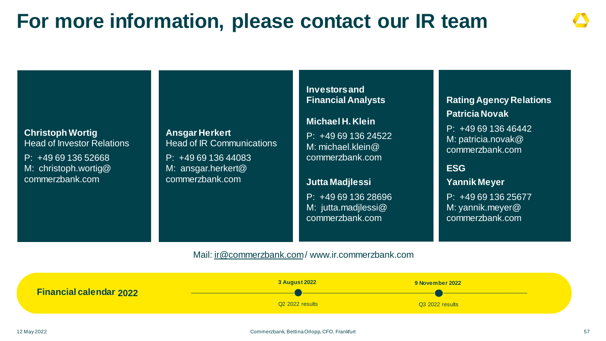## **For more information, please contact our IR team**

### **Christoph Wortig** Head of Investor Relations

P: +49 69 136 52668 M: christoph.wortig@ commerzbank.com

**Ansgar Herkert** Head of IR Communications

P: +49 69 136 44083 M: ansgar.herkert@ commerzbank.com

**Investors and Financial Analysts**

### **Michael H. Klein**

P: +49 69 136 24522 M: michael.klein@ commerzbank.com

**Jutta Madjlessi** P: +49 69 136 28696 M: jutta.madjlessi@ commerzbank.com

**Rating Agency Relations Patricia Novak**

P: +49 69 136 46442 M: patricia.novak@ commerzbank.com

### **ESG**

**Yannik Meyer** P: +49 69 136 25677 M: yannik.meyer@ commerzbank.com

Mail: [ir@commerzbank.com](mailto:ir@commerzbank.com)/ www.ir.commerzbank.com